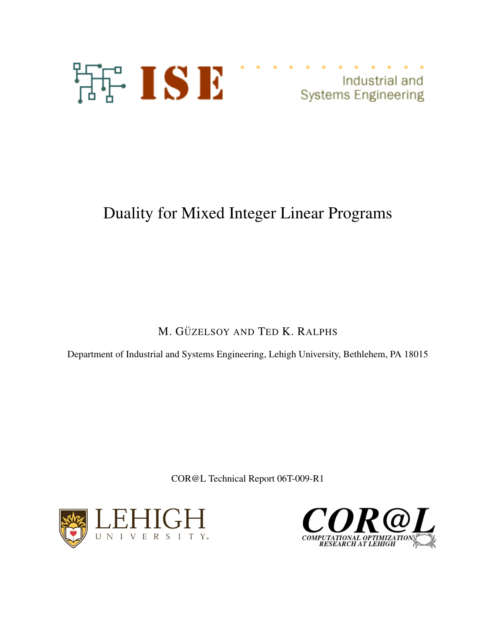

Industrial and<br>Systems Engineering

# Duality for Mixed Integer Linear Programs

M. GÜZELSOY AND TED K. RALPHS

Department of Industrial and Systems Engineering, Lehigh University, Bethlehem, PA 18015

COR@L Technical Report 06T-009-R1



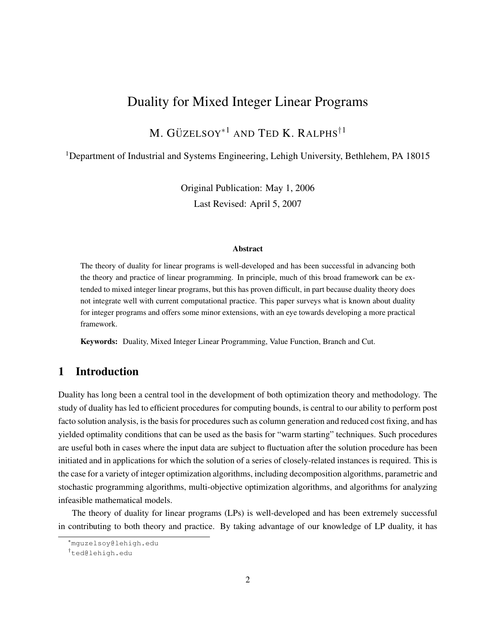## Duality for Mixed Integer Linear Programs

M. GÜZELSOY $^{\ast}{}^{1}$  and Ted K. Ralphs $^{\dag}{}^{1}$ 

<sup>1</sup>Department of Industrial and Systems Engineering, Lehigh University, Bethlehem, PA 18015

Original Publication: May 1, 2006 Last Revised: April 5, 2007

#### **Abstract**

The theory of duality for linear programs is well-developed and has been successful in advancing both the theory and practice of linear programming. In principle, much of this broad framework can be extended to mixed integer linear programs, but this has proven difficult, in part because duality theory does not integrate well with current computational practice. This paper surveys what is known about duality for integer programs and offers some minor extensions, with an eye towards developing a more practical framework.

Keywords: Duality, Mixed Integer Linear Programming, Value Function, Branch and Cut.

## 1 Introduction

Duality has long been a central tool in the development of both optimization theory and methodology. The study of duality has led to efficient procedures for computing bounds, is central to our ability to perform post facto solution analysis, is the basis for procedures such as column generation and reduced cost fixing, and has yielded optimality conditions that can be used as the basis for "warm starting" techniques. Such procedures are useful both in cases where the input data are subject to fluctuation after the solution procedure has been initiated and in applications for which the solution of a series of closely-related instances is required. This is the case for a variety of integer optimization algorithms, including decomposition algorithms, parametric and stochastic programming algorithms, multi-objective optimization algorithms, and algorithms for analyzing infeasible mathematical models.

The theory of duality for linear programs (LPs) is well-developed and has been extremely successful in contributing to both theory and practice. By taking advantage of our knowledge of LP duality, it has

<sup>∗</sup>mguzelsoy@lehigh.edu

<sup>†</sup>ted@lehigh.edu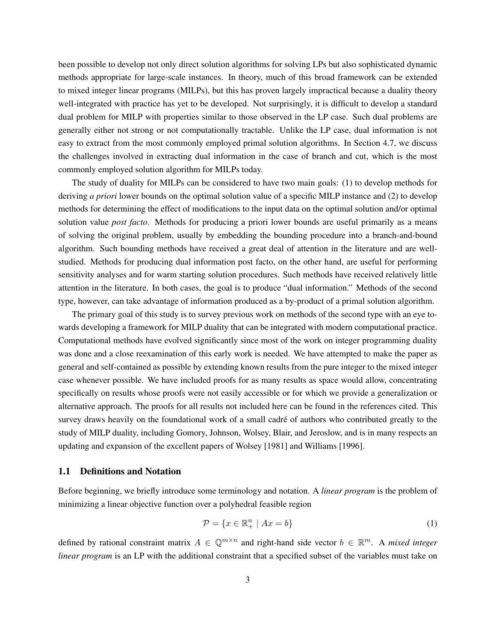been possible to develop not only direct solution algorithms for solving LPs but also sophisticated dynamic methods appropriate for large-scale instances. In theory, much of this broad framework can be extended to mixed integer linear programs (MILPs), but this has proven largely impractical because a duality theory well-integrated with practice has yet to be developed. Not surprisingly, it is difficult to develop a standard dual problem for MILP with properties similar to those observed in the LP case. Such dual problems are generally either not strong or not computationally tractable. Unlike the LP case, dual information is not easy to extract from the most commonly employed primal solution algorithms. In Section 4.7, we discuss the challenges involved in extracting dual information in the case of branch and cut, which is the most commonly employed solution algorithm for MILPs today.

The study of duality for MILPs can be considered to have two main goals: (1) to develop methods for deriving *a priori* lower bounds on the optimal solution value of a specific MILP instance and (2) to develop methods for determining the effect of modifications to the input data on the optimal solution and/or optimal solution value *post facto*. Methods for producing a priori lower bounds are useful primarily as a means of solving the original problem, usually by embedding the bounding procedure into a branch-and-bound algorithm. Such bounding methods have received a great deal of attention in the literature and are wellstudied. Methods for producing dual information post facto, on the other hand, are useful for performing sensitivity analyses and for warm starting solution procedures. Such methods have received relatively little attention in the literature. In both cases, the goal is to produce "dual information." Methods of the second type, however, can take advantage of information produced as a by-product of a primal solution algorithm.

The primary goal of this study is to survey previous work on methods of the second type with an eye towards developing a framework for MILP duality that can be integrated with modern computational practice. Computational methods have evolved significantly since most of the work on integer programming duality was done and a close reexamination of this early work is needed. We have attempted to make the paper as general and self-contained as possible by extending known results from the pure integer to the mixed integer case whenever possible. We have included proofs for as many results as space would allow, concentrating specifically on results whose proofs were not easily accessible or for which we provide a generalization or alternative approach. The proofs for all results not included here can be found in the references cited. This survey draws heavily on the foundational work of a small cadré of authors who contributed greatly to the study of MILP duality, including Gomory, Johnson, Wolsey, Blair, and Jeroslow, and is in many respects an updating and expansion of the excellent papers of Wolsey [1981] and Williams [1996].

## 1.1 Definitions and Notation

Before beginning, we briefly introduce some terminology and notation. A *linear program* is the problem of minimizing a linear objective function over a polyhedral feasible region

$$
\mathcal{P} = \{x \in \mathbb{R}_+^n \mid Ax = b\}
$$
 (1)

defined by rational constraint matrix  $A \in \mathbb{Q}^{m \times n}$  and right-hand side vector  $b \in \mathbb{R}^m$ . A *mixed integer linear program* is an LP with the additional constraint that a specified subset of the variables must take on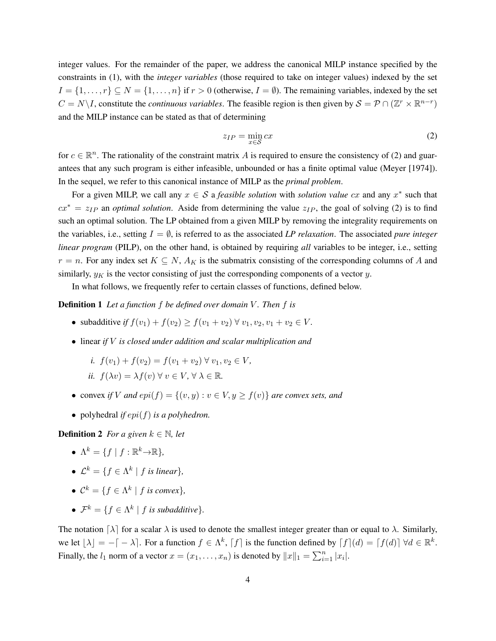integer values. For the remainder of the paper, we address the canonical MILP instance specified by the constraints in (1), with the *integer variables* (those required to take on integer values) indexed by the set  $I = \{1, \ldots, r\} \subseteq N = \{1, \ldots, n\}$  if  $r > 0$  (otherwise,  $I = \emptyset$ ). The remaining variables, indexed by the set  $C = N \setminus I$ , constitute the *continuous variables*. The feasible region is then given by  $S = P \cap (\mathbb{Z}^r \times \mathbb{R}^{n-r})$ and the MILP instance can be stated as that of determining

$$
z_{IP} = \min_{x \in \mathcal{S}} cx \tag{2}
$$

for  $c \in \mathbb{R}^n$ . The rationality of the constraint matrix A is required to ensure the consistency of (2) and guarantees that any such program is either infeasible, unbounded or has a finite optimal value (Meyer [1974]). In the sequel, we refer to this canonical instance of MILP as the *primal problem*.

For a given MILP, we call any  $x \in S$  a *feasible solution* with *solution value* cx and any  $x^*$  such that  $cx^* = z_{IP}$  an *optimal solution*. Aside from determining the value  $z_{IP}$ , the goal of solving (2) is to find such an optimal solution. The LP obtained from a given MILP by removing the integrality requirements on the variables, i.e., setting  $I = \emptyset$ , is referred to as the associated *LP relaxation*. The associated *pure integer linear program* (PILP), on the other hand, is obtained by requiring *all* variables to be integer, i.e., setting  $r = n$ . For any index set  $K \subseteq N$ ,  $A_K$  is the submatrix consisting of the corresponding columns of A and similarly,  $y_K$  is the vector consisting of just the corresponding components of a vector y.

In what follows, we frequently refer to certain classes of functions, defined below.

## **Definition 1** Let a function f be defined over domain V. Then f is

- subadditive *if*  $f(v_1) + f(v_2) > f(v_1 + v_2) \forall v_1, v_2, v_1 + v_2 \in V$ .
- linear *if* V *is closed under addition and scalar multiplication and*

i. 
$$
f(v_1) + f(v_2) = f(v_1 + v_2) \forall v_1, v_2 \in V
$$
,  
ii.  $f(\lambda v) = \lambda f(v) \forall v \in V, \forall \lambda \in \mathbb{R}$ .

- convex *if* V *and*  $epi(f) = \{(v, y) : v \in V, y \ge f(v)\}$  *are convex sets, and*
- polyhedral *if*  $epi(f)$  *is a polyhedron.*

**Definition 2** *For a given*  $k \in \mathbb{N}$ *, let* 

- $\Lambda^k = \{f \mid f : \mathbb{R}^k \rightarrow \mathbb{R}\},\$
- $\mathcal{L}^k = \{f \in \Lambda^k \mid f \text{ is linear}\},\$
- $\mathcal{C}^k = \{f \in \Lambda^k \mid f \text{ is convex}\},\$
- $\mathcal{F}^k = \{f \in \Lambda^k \mid f \text{ is subadditive}\}.$

The notation  $[\lambda]$  for a scalar  $\lambda$  is used to denote the smallest integer greater than or equal to  $\lambda$ . Similarly, we let  $|\lambda| = -(-\lambda)$ . For a function  $f \in \Lambda^k$ ,  $f$  is the function defined by  $f(d) = [f(d)] \,\forall d \in \mathbb{R}^k$ . Finally, the  $l_1$  norm of a vector  $x = (x_1, \ldots, x_n)$  is denoted by  $||x||_1 = \sum_{i=1}^n |x_i|$ .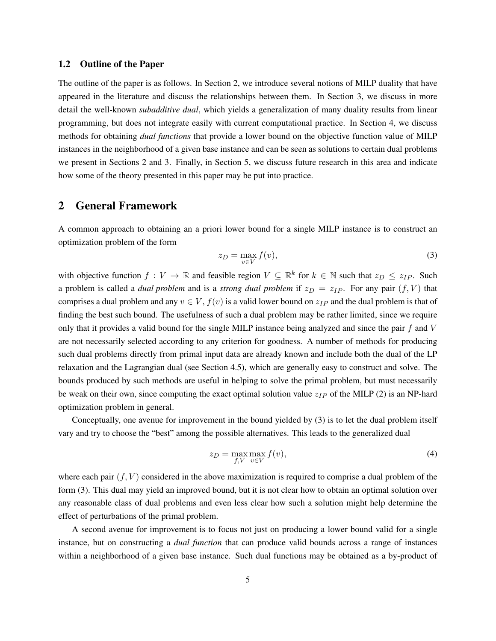## 1.2 Outline of the Paper

The outline of the paper is as follows. In Section 2, we introduce several notions of MILP duality that have appeared in the literature and discuss the relationships between them. In Section 3, we discuss in more detail the well-known *subadditive dual*, which yields a generalization of many duality results from linear programming, but does not integrate easily with current computational practice. In Section 4, we discuss methods for obtaining *dual functions* that provide a lower bound on the objective function value of MILP instances in the neighborhood of a given base instance and can be seen as solutions to certain dual problems we present in Sections 2 and 3. Finally, in Section 5, we discuss future research in this area and indicate how some of the theory presented in this paper may be put into practice.

## 2 General Framework

A common approach to obtaining an a priori lower bound for a single MILP instance is to construct an optimization problem of the form

$$
z_D = \max_{v \in V} f(v),\tag{3}
$$

with objective function  $f: V \to \mathbb{R}$  and feasible region  $V \subseteq \mathbb{R}^k$  for  $k \in \mathbb{N}$  such that  $z_D \leq z_{IP}$ . Such a problem is called a *dual problem* and is a *strong dual problem* if  $z_D = z_{IP}$ . For any pair  $(f, V)$  that comprises a dual problem and any  $v \in V$ ,  $f(v)$  is a valid lower bound on  $z_{IP}$  and the dual problem is that of finding the best such bound. The usefulness of such a dual problem may be rather limited, since we require only that it provides a valid bound for the single MILP instance being analyzed and since the pair  $f$  and  $V$ are not necessarily selected according to any criterion for goodness. A number of methods for producing such dual problems directly from primal input data are already known and include both the dual of the LP relaxation and the Lagrangian dual (see Section 4.5), which are generally easy to construct and solve. The bounds produced by such methods are useful in helping to solve the primal problem, but must necessarily be weak on their own, since computing the exact optimal solution value  $z_{IP}$  of the MILP (2) is an NP-hard optimization problem in general.

Conceptually, one avenue for improvement in the bound yielded by (3) is to let the dual problem itself vary and try to choose the "best" among the possible alternatives. This leads to the generalized dual

$$
z_D = \max_{f, V} \max_{v \in V} f(v),\tag{4}
$$

where each pair  $(f, V)$  considered in the above maximization is required to comprise a dual problem of the form (3). This dual may yield an improved bound, but it is not clear how to obtain an optimal solution over any reasonable class of dual problems and even less clear how such a solution might help determine the effect of perturbations of the primal problem.

A second avenue for improvement is to focus not just on producing a lower bound valid for a single instance, but on constructing a *dual function* that can produce valid bounds across a range of instances within a neighborhood of a given base instance. Such dual functions may be obtained as a by-product of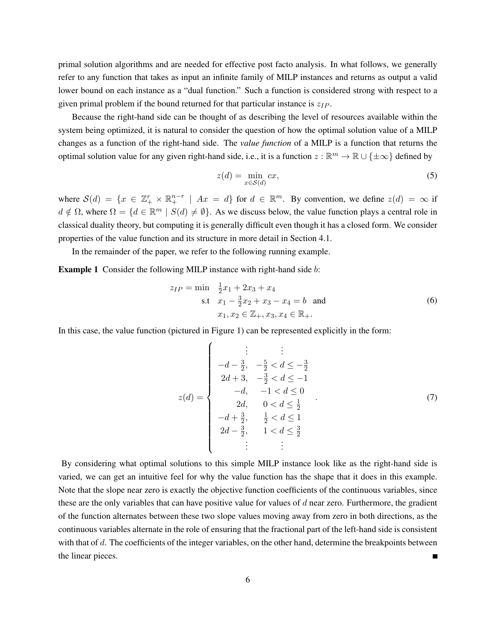primal solution algorithms and are needed for effective post facto analysis. In what follows, we generally refer to any function that takes as input an infinite family of MILP instances and returns as output a valid lower bound on each instance as a "dual function." Such a function is considered strong with respect to a given primal problem if the bound returned for that particular instance is  $z_{IP}$ .

Because the right-hand side can be thought of as describing the level of resources available within the system being optimized, it is natural to consider the question of how the optimal solution value of a MILP changes as a function of the right-hand side. The *value function* of a MILP is a function that returns the optimal solution value for any given right-hand side, i.e., it is a function  $z : \mathbb{R}^m \to \mathbb{R} \cup \{\pm \infty\}$  defined by

$$
z(d) = \min_{x \in \mathcal{S}(d)} cx,\tag{5}
$$

where  $S(d) = \{x \in \mathbb{Z}_{+}^r \times \mathbb{R}_{+}^{n-r} \mid Ax = d\}$  for  $d \in \mathbb{R}^m$ . By convention, we define  $z(d) = \infty$  if  $d \notin \Omega$ , where  $\Omega = \{d \in \mathbb{R}^m \mid S(d) \neq \emptyset\}$ . As we discuss below, the value function plays a central role in classical duality theory, but computing it is generally difficult even though it has a closed form. We consider properties of the value function and its structure in more detail in Section 4.1.

In the remainder of the paper, we refer to the following running example.

**Example 1** Consider the following MILP instance with right-hand side b:

$$
z_{IP} = \min \frac{1}{2}x_1 + 2x_3 + x_4
$$
  
s.t  $x_1 - \frac{3}{2}x_2 + x_3 - x_4 = b$  and  
 $x_1, x_2 \in \mathbb{Z}_+, x_3, x_4 \in \mathbb{R}_+.$  (6)

In this case, the value function (pictured in Figure 1) can be represented explicitly in the form:

$$
z(d) = \begin{cases}\n\vdots & \vdots & \vdots \\
-d - \frac{3}{2}, & -\frac{5}{2} < d \le -\frac{3}{2} \\
2d + 3, & -\frac{3}{2} < d \le -1 \\
-d, & -1 < d \le 0 \\
2d, & 0 < d \le \frac{1}{2} \\
-d + \frac{3}{2}, & \frac{1}{2} < d \le 1 \\
2d - \frac{3}{2}, & 1 < d \le \frac{3}{2}\n\end{cases} (7)
$$

By considering what optimal solutions to this simple MILP instance look like as the right-hand side is varied, we can get an intuitive feel for why the value function has the shape that it does in this example. Note that the slope near zero is exactly the objective function coefficients of the continuous variables, since these are the only variables that can have positive value for values of  $d$  near zero. Furthermore, the gradient of the function alternates between these two slope values moving away from zero in both directions, as the continuous variables alternate in the role of ensuring that the fractional part of the left-hand side is consistent with that of d. The coefficients of the integer variables, on the other hand, determine the breakpoints between the linear pieces. Г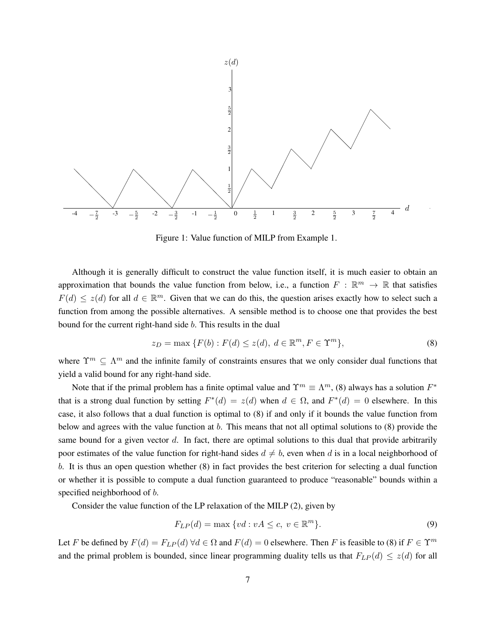

Figure 1: Value function of MILP from Example 1.

Although it is generally difficult to construct the value function itself, it is much easier to obtain an approximation that bounds the value function from below, i.e., a function  $F : \mathbb{R}^m \to \mathbb{R}$  that satisfies  $F(d) \leq z(d)$  for all  $d \in \mathbb{R}^m$ . Given that we can do this, the question arises exactly how to select such a function from among the possible alternatives. A sensible method is to choose one that provides the best bound for the current right-hand side b. This results in the dual

$$
z_D = \max\left\{F(b) : F(d) \le z(d), \ d \in \mathbb{R}^m, F \in \Upsilon^m\right\},\tag{8}
$$

where  $\Upsilon^m \subseteq \Lambda^m$  and the infinite family of constraints ensures that we only consider dual functions that yield a valid bound for any right-hand side.

Note that if the primal problem has a finite optimal value and  $\Upsilon^m \equiv \Lambda^m$ , (8) always has a solution  $F^*$ that is a strong dual function by setting  $F^*(d) = z(d)$  when  $d \in \Omega$ , and  $F^*(d) = 0$  elsewhere. In this case, it also follows that a dual function is optimal to (8) if and only if it bounds the value function from below and agrees with the value function at b. This means that not all optimal solutions to (8) provide the same bound for a given vector  $d$ . In fact, there are optimal solutions to this dual that provide arbitrarily poor estimates of the value function for right-hand sides  $d \neq b$ , even when d is in a local neighborhood of b. It is thus an open question whether (8) in fact provides the best criterion for selecting a dual function or whether it is possible to compute a dual function guaranteed to produce "reasonable" bounds within a specified neighborhood of b.

Consider the value function of the LP relaxation of the MILP (2), given by

$$
F_{LP}(d) = \max \{ vd : vA \le c, v \in \mathbb{R}^m \}.
$$
\n(9)

Let F be defined by  $F(d) = F_{LP}(d) \forall d \in \Omega$  and  $F(d) = 0$  elsewhere. Then F is feasible to (8) if  $F \in \Upsilon^m$ and the primal problem is bounded, since linear programming duality tells us that  $F_{LP}(d) \leq z(d)$  for all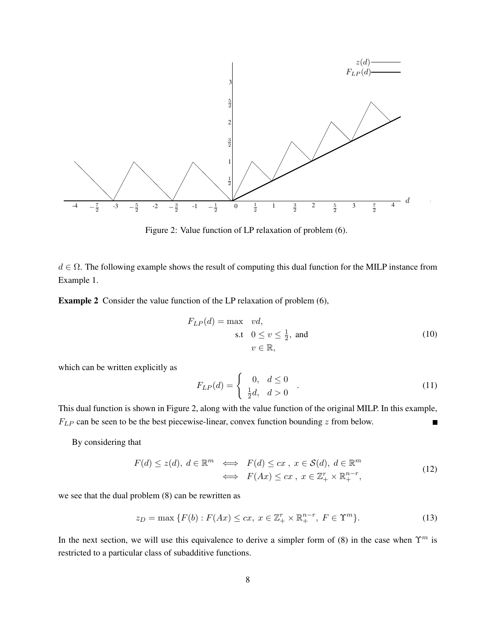

Figure 2: Value function of LP relaxation of problem (6).

 $d \in \Omega$ . The following example shows the result of computing this dual function for the MILP instance from Example 1.

Example 2 Consider the value function of the LP relaxation of problem (6),

$$
F_{LP}(d) = \max \quad vd,
$$
  
s.t  $0 \le v \le \frac{1}{2}$ , and  
 $v \in \mathbb{R}$ , (10)

which can be written explicitly as

$$
F_{LP}(d) = \begin{cases} 0, & d \le 0 \\ \frac{1}{2}d, & d > 0 \end{cases} .
$$
 (11)

This dual function is shown in Figure 2, along with the value function of the original MILP. In this example,  $F_{LP}$  can be seen to be the best piecewise-linear, convex function bounding  $z$  from below.

By considering that

$$
F(d) \le z(d), \ d \in \mathbb{R}^m \iff F(d) \le cx, \ x \in \mathcal{S}(d), \ d \in \mathbb{R}^m
$$
  

$$
\iff F(Ax) \le cx, \ x \in \mathbb{Z}_+^r \times \mathbb{R}_+^{n-r},
$$
 (12)

we see that the dual problem (8) can be rewritten as

$$
z_D = \max\left\{F(b) : F(Ax) \le cx, \ x \in \mathbb{Z}_+^r \times \mathbb{R}_+^{n-r}, \ F \in \Upsilon^m\right\}.
$$
 (13)

In the next section, we will use this equivalence to derive a simpler form of (8) in the case when  $\Upsilon^m$  is restricted to a particular class of subadditive functions.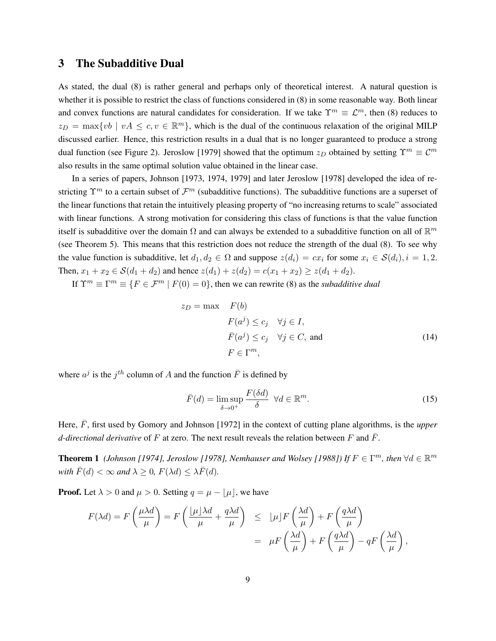## 3 The Subadditive Dual

As stated, the dual (8) is rather general and perhaps only of theoretical interest. A natural question is whether it is possible to restrict the class of functions considered in (8) in some reasonable way. Both linear and convex functions are natural candidates for consideration. If we take  $\Upsilon^m \equiv \mathcal{L}^m$ , then (8) reduces to  $z_D = \max\{vb \mid vA \leq c, v \in \mathbb{R}^m\}$ , which is the dual of the continuous relaxation of the original MILP discussed earlier. Hence, this restriction results in a dual that is no longer guaranteed to produce a strong dual function (see Figure 2). Jeroslow [1979] showed that the optimum  $z_D$  obtained by setting  $\Upsilon^m \equiv \mathcal{C}^m$ also results in the same optimal solution value obtained in the linear case.

In a series of papers, Johnson [1973, 1974, 1979] and later Jeroslow [1978] developed the idea of restricting  $\Upsilon^m$  to a certain subset of  $\mathcal{F}^m$  (subadditive functions). The subadditive functions are a superset of the linear functions that retain the intuitively pleasing property of "no increasing returns to scale" associated with linear functions. A strong motivation for considering this class of functions is that the value function itself is subadditive over the domain  $\Omega$  and can always be extended to a subadditive function on all of  $\mathbb{R}^m$ (see Theorem 5). This means that this restriction does not reduce the strength of the dual (8). To see why the value function is subadditive, let  $d_1, d_2 \in \Omega$  and suppose  $z(d_i) = cx_i$  for some  $x_i \in S(d_i), i = 1, 2$ . Then,  $x_1 + x_2 \in S(d_1 + d_2)$  and hence  $z(d_1) + z(d_2) = c(x_1 + x_2) \ge z(d_1 + d_2)$ .

If  $\Upsilon^m \equiv \Gamma^m \equiv \{ F \in \mathcal{F}^m \mid F(0) = 0 \}$ , then we can rewrite (8) as the *subadditive dual* 

$$
z_D = \max \quad F(b)
$$
  
\n
$$
F(a^j) \le c_j \quad \forall j \in I,
$$
  
\n
$$
\bar{F}(a^j) \le c_j \quad \forall j \in C, \text{ and}
$$
  
\n
$$
F \in \Gamma^m,
$$
 (14)

where  $a^j$  is the  $j^{th}$  column of A and the function  $\overline{F}$  is defined by

$$
\bar{F}(d) = \limsup_{\delta \to 0^+} \frac{F(\delta d)}{\delta} \quad \forall d \in \mathbb{R}^m.
$$
\n(15)

Here,  $\bar{F}$ , first used by Gomory and Johnson [1972] in the context of cutting plane algorithms, is the *upper d-directional derivative* of F at zero. The next result reveals the relation between F and  $\overline{F}$ .

**Theorem 1** (Johnson [1974], Jeroslow [1978], Nemhauser and Wolsey [1988]) If  $F \in \Gamma^m$ , then  $\forall d \in \mathbb{R}^m$ *with*  $\bar{F}(d) < \infty$  *and*  $\lambda \geq 0$ ,  $F(\lambda d) \leq \lambda \bar{F}(d)$ .

**Proof.** Let  $\lambda > 0$  and  $\mu > 0$ . Setting  $q = \mu - |\mu|$ , we have

$$
F(\lambda d) = F\left(\frac{\mu\lambda d}{\mu}\right) = F\left(\frac{\lfloor\mu\rfloor\lambda d}{\mu} + \frac{q\lambda d}{\mu}\right) \leq \lfloor\mu\rfloor F\left(\frac{\lambda d}{\mu}\right) + F\left(\frac{q\lambda d}{\mu}\right)
$$

$$
= \mu F\left(\frac{\lambda d}{\mu}\right) + F\left(\frac{q\lambda d}{\mu}\right) - qF\left(\frac{\lambda d}{\mu}\right),
$$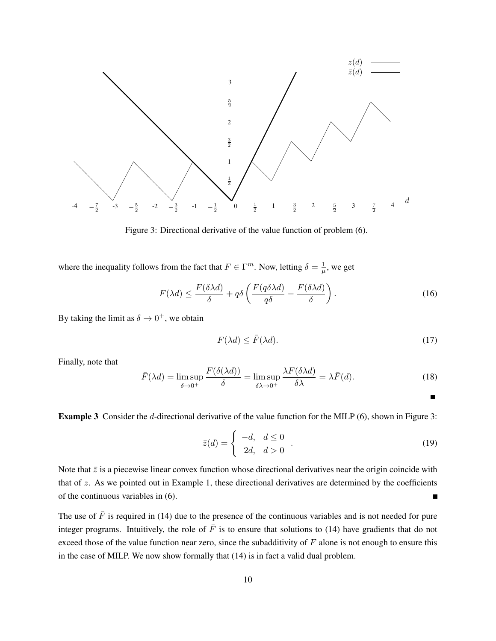

Figure 3: Directional derivative of the value function of problem (6).

where the inequality follows from the fact that  $F \in \Gamma^m$ . Now, letting  $\delta = \frac{1}{\mu}$  $\frac{1}{\mu}$ , we get

$$
F(\lambda d) \le \frac{F(\delta \lambda d)}{\delta} + q\delta \left( \frac{F(q\delta \lambda d)}{q\delta} - \frac{F(\delta \lambda d)}{\delta} \right). \tag{16}
$$

By taking the limit as  $\delta \to 0^+$ , we obtain

$$
F(\lambda d) \le \bar{F}(\lambda d). \tag{17}
$$

Finally, note that

$$
\bar{F}(\lambda d) = \limsup_{\delta \to 0^+} \frac{F(\delta(\lambda d))}{\delta} = \limsup_{\delta \lambda \to 0^+} \frac{\lambda F(\delta \lambda d)}{\delta \lambda} = \lambda \bar{F}(d). \tag{18}
$$

Example 3 Consider the d-directional derivative of the value function for the MILP (6), shown in Figure 3:

$$
\bar{z}(d) = \begin{cases}\n-d, & d \leq 0 \\
2d, & d > 0\n\end{cases}.
$$
\n(19)

Note that  $\bar{z}$  is a piecewise linear convex function whose directional derivatives near the origin coincide with that of  $z$ . As we pointed out in Example 1, these directional derivatives are determined by the coefficients of the continuous variables in (6).  $\blacksquare$ 

The use of  $\bar{F}$  is required in (14) due to the presence of the continuous variables and is not needed for pure integer programs. Intuitively, the role of  $\bar{F}$  is to ensure that solutions to (14) have gradients that do not exceed those of the value function near zero, since the subadditivity of  $F$  alone is not enough to ensure this in the case of MILP. We now show formally that (14) is in fact a valid dual problem.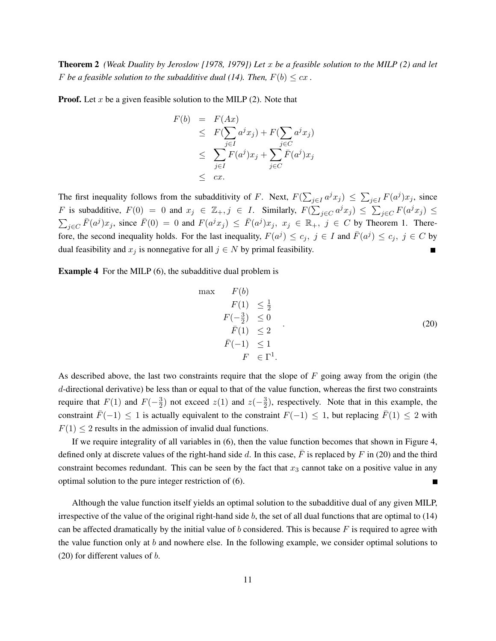Theorem 2 *(Weak Duality by Jeroslow [1978, 1979]) Let* x *be a feasible solution to the MILP (2) and let* F be a feasible solution to the subadditive dual (14). Then,  $F(b) \leq cx$ .

**Proof.** Let x be a given feasible solution to the MILP  $(2)$ . Note that

$$
F(b) = F(Ax)
$$
  
\n
$$
\leq F(\sum_{j \in I} a^j x_j) + F(\sum_{j \in C} a^j x_j)
$$
  
\n
$$
\leq \sum_{j \in I} F(a^j) x_j + \sum_{j \in C} \overline{F}(a^j) x_j
$$
  
\n
$$
\leq cx.
$$

The first inequality follows from the subadditivity of F. Next,  $F(\sum_{j\in I} a^j x_j) \leq \sum_{j\in I} F(a^j) x_j$ , since F is subadditive,  $F(0) = 0$  and  $x_j \in \mathbb{Z}_+, j \in I$ . Similarly,  $F(\sum_{j \in C} a^j x_j) \leq \sum_{j \in C} F(a^j x_j) \leq$  $\sum_{j \in C} \bar{F}(a^j) x_j$ , since  $\bar{F}(0) = 0$  and  $F(a^j x_j) \leq \bar{F}(a^j) x_j$ ,  $x_j \in \mathbb{R}_+$ ,  $j \in C$  by Theorem 1. Therefore, the second inequality holds. For the last inequality,  $F(a^j) \le c_j$ ,  $j \in I$  and  $\bar{F}(a^j) \le c_j$ ,  $j \in C$  by dual feasibility and  $x_j$  is nonnegative for all  $j \in N$  by primal feasibility.

Example 4 For the MILP (6), the subadditive dual problem is

$$
\max \quad F(b)
$$
\n
$$
F(1) \leq \frac{1}{2}
$$
\n
$$
F(-\frac{3}{2}) \leq 0
$$
\n
$$
\overline{F}(1) \leq 2
$$
\n
$$
\overline{F}(-1) \leq 1
$$
\n
$$
F \in \Gamma^{1}.
$$
\n(20)

As described above, the last two constraints require that the slope of  $F$  going away from the origin (the d-directional derivative) be less than or equal to that of the value function, whereas the first two constraints require that  $F(1)$  and  $F(-\frac{3}{2})$  $\frac{3}{2}$ ) not exceed  $z(1)$  and  $z(-\frac{3}{2})$  $\frac{3}{2}$ ), respectively. Note that in this example, the constraint  $\bar{F}(-1) \leq 1$  is actually equivalent to the constraint  $F(-1) \leq 1$ , but replacing  $\bar{F}(1) \leq 2$  with  $F(1) \leq 2$  results in the admission of invalid dual functions.

If we require integrality of all variables in (6), then the value function becomes that shown in Figure 4, defined only at discrete values of the right-hand side d. In this case,  $\bar{F}$  is replaced by F in (20) and the third constraint becomes redundant. This can be seen by the fact that  $x_3$  cannot take on a positive value in any optimal solution to the pure integer restriction of (6). Н

Although the value function itself yields an optimal solution to the subadditive dual of any given MILP, irrespective of the value of the original right-hand side  $b$ , the set of all dual functions that are optimal to  $(14)$ can be affected dramatically by the initial value of b considered. This is because  $F$  is required to agree with the value function only at  $b$  and nowhere else. In the following example, we consider optimal solutions to (20) for different values of  $b$ .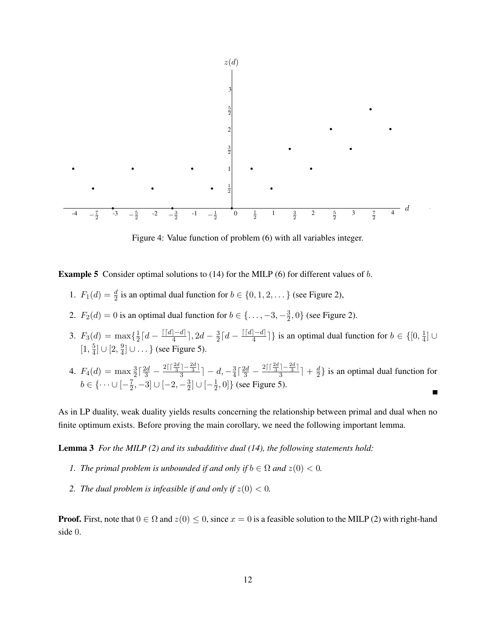

Figure 4: Value function of problem (6) with all variables integer.

**Example 5** Consider optimal solutions to  $(14)$  for the MILP  $(6)$  for different values of b.

- 1.  $F_1(d) = \frac{d}{2}$  is an optimal dual function for  $b \in \{0, 1, 2, \dots\}$  (see Figure 2),
- 2.  $F_2(d) = 0$  is an optimal dual function for  $b \in \{\ldots, -3, -\frac{3}{2}\}$  $\frac{3}{2}$ , 0} (see Figure 2).
- 3.  $F_3(d) = \max\{\frac{1}{2}\}$  $\frac{1}{2}\lceil d-\frac{\lceil\lceil d\rceil-d\rceil}{4}$  $\frac{|-d|}{4}$ , 2d –  $\frac{3}{2}$  $\frac{3}{2}\lceil d-\frac{\lceil\lceil d\rceil-d\rceil}{4}$  $\left\lfloor \frac{-d}{4} \right\rfloor$  is an optimal dual function for  $b \in \{[0, \frac{1}{4}]\}$  $\frac{1}{4}$ ]∪  $[1, \frac{5}{4}]$  $\frac{5}{4}]\cup [2,\frac{9}{4}$  $\frac{9}{4}$ ] ∪ ... } (see Figure 5).
- 4.  $F_4(d) = \max_{1} \frac{3}{2} \left[ \frac{2d}{3} \frac{2 \left[ \frac{2d}{3} \frac{2d}{3} \right]}{3} \right]$  $\frac{3}{4} \left\lceil \frac{2d}{3} - \frac{2 \left\lceil \left\lceil \frac{2d}{3} \right\rceil - \frac{2d}{3} \right\rceil}{3} \right\rceil$  $\frac{|-\frac{2\alpha}{3}|}{3}$ ] –  $d, -\frac{3}{4}$  $\frac{|-\frac{2a}{3}|}{3}$  +  $\frac{d}{2}$  $\frac{d}{2}$ } is an optimal dual function for  $b \in \{ \cdots \cup [-\frac{7}{2}]$  $\frac{7}{2}, -3] \cup \{-2, -\frac{3}{2}$  $\frac{3}{2}$ ]  $\cup$   $\left[-\frac{1}{2}\right]$  $\left[\frac{1}{2},0\right]$  (see Figure 5).  $\blacksquare$

As in LP duality, weak duality yields results concerning the relationship between primal and dual when no finite optimum exists. Before proving the main corollary, we need the following important lemma.

Lemma 3 *For the MILP (2) and its subadditive dual (14), the following statements hold:*

- *1. The primal problem is unbounded if and only if*  $b \in \Omega$  *and*  $z(0) < 0$ *.*
- 2. *The dual problem is infeasible if and only if*  $z(0) < 0$ .

**Proof.** First, note that  $0 \in \Omega$  and  $z(0) \leq 0$ , since  $x = 0$  is a feasible solution to the MILP (2) with right-hand side 0.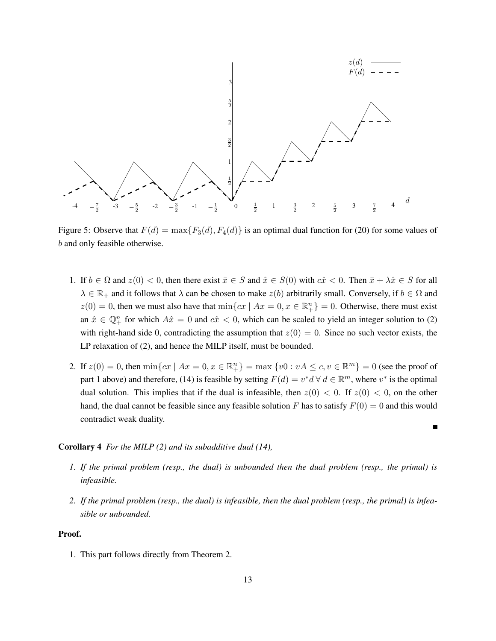

Figure 5: Observe that  $F(d) = \max\{F_3(d), F_4(d)\}\$ is an optimal dual function for (20) for some values of b and only feasible otherwise.

- 1. If  $b \in \Omega$  and  $z(0) < 0$ , then there exist  $\bar{x} \in S$  and  $\hat{x} \in S(0)$  with  $c\hat{x} < 0$ . Then  $\bar{x} + \lambda \hat{x} \in S$  for all  $\lambda \in \mathbb{R}_+$  and it follows that  $\lambda$  can be chosen to make  $z(b)$  arbitrarily small. Conversely, if  $b \in \Omega$  and  $z(0) = 0$ , then we must also have that  $\min\{cx \mid Ax = 0, x \in \mathbb{R}^n_+\} = 0$ . Otherwise, there must exist an  $\hat{x} \in \mathbb{Q}_+^n$  for which  $A\hat{x} = 0$  and  $c\hat{x} < 0$ , which can be scaled to yield an integer solution to (2) with right-hand side 0, contradicting the assumption that  $z(0) = 0$ . Since no such vector exists, the LP relaxation of (2), and hence the MILP itself, must be bounded.
- 2. If  $z(0) = 0$ , then  $\min\{cx \mid Ax = 0, x \in \mathbb{R}_{+}^{n}\} = \max\{v0 : vA \le c, v \in \mathbb{R}^{m}\} = 0$  (see the proof of part 1 above) and therefore, (14) is feasible by setting  $F(d) = v^*d \forall d \in \mathbb{R}^m$ , where  $v^*$  is the optimal dual solution. This implies that if the dual is infeasible, then  $z(0) < 0$ . If  $z(0) < 0$ , on the other hand, the dual cannot be feasible since any feasible solution F has to satisfy  $F(0) = 0$  and this would contradict weak duality.

 $\blacksquare$ 

#### Corollary 4 *For the MILP (2) and its subadditive dual (14),*

- *1. If the primal problem (resp., the dual) is unbounded then the dual problem (resp., the primal) is infeasible.*
- *2. If the primal problem (resp., the dual) is infeasible, then the dual problem (resp., the primal) is infeasible or unbounded.*

## Proof.

1. This part follows directly from Theorem 2.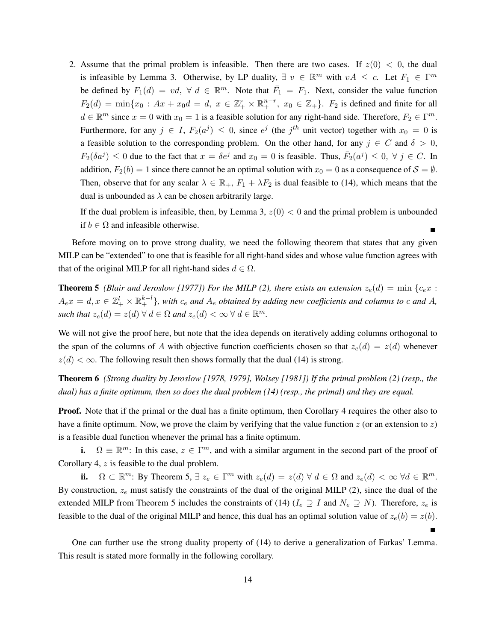2. Assume that the primal problem is infeasible. Then there are two cases. If  $z(0) < 0$ , the dual is infeasible by Lemma 3. Otherwise, by LP duality,  $\exists v \in \mathbb{R}^m$  with  $vA \leq c$ . Let  $F_1 \in \Gamma^m$ be defined by  $F_1(d) = vd$ ,  $\forall d \in \mathbb{R}^m$ . Note that  $\overline{F_1} = F_1$ . Next, consider the value function  $F_2(d) = \min\{x_0: Ax + x_0d = d, x \in \mathbb{Z}_+^r \times \mathbb{R}_+^{n-r}, x_0 \in \mathbb{Z}_+\}.$  F<sub>2</sub> is defined and finite for all  $d \in \mathbb{R}^m$  since  $x = 0$  with  $x_0 = 1$  is a feasible solution for any right-hand side. Therefore,  $F_2 \in \Gamma^m$ . Furthermore, for any  $j \in I$ ,  $F_2(a^j) \leq 0$ , since  $e^j$  (the  $j^{th}$  unit vector) together with  $x_0 = 0$  is a feasible solution to the corresponding problem. On the other hand, for any  $j \in C$  and  $\delta > 0$ ,  $F_2(\delta a^j) \leq 0$  due to the fact that  $x = \delta e^j$  and  $x_0 = 0$  is feasible. Thus,  $\bar{F}_2(a^j) \leq 0, \forall j \in C$ . In addition,  $F_2(b) = 1$  since there cannot be an optimal solution with  $x_0 = 0$  as a consequence of  $S = \emptyset$ . Then, observe that for any scalar  $\lambda \in \mathbb{R}_+$ ,  $F_1 + \lambda F_2$  is dual feasible to (14), which means that the dual is unbounded as  $\lambda$  can be chosen arbitrarily large.

If the dual problem is infeasible, then, by Lemma 3,  $z(0) < 0$  and the primal problem is unbounded if  $b \in \Omega$  and infeasible otherwise.  $\blacksquare$ 

Before moving on to prove strong duality, we need the following theorem that states that any given MILP can be "extended" to one that is feasible for all right-hand sides and whose value function agrees with that of the original MILP for all right-hand sides  $d \in \Omega$ .

**Theorem 5** *(Blair and Jeroslow [1977]) For the MILP (2), there exists an extension*  $z_e(d) = \min \{c_e x$ :  $A_e x = d, x \in \mathbb{Z}_+^l \times \mathbb{R}_+^{k-l}$ , with  $c_e$  and  $A_e$  obtained by adding new coefficients and columns to c and A, such that  $z_e(d) = z(d) \ \forall \ d \in \Omega$  and  $z_e(d) < \infty \ \forall \ d \in \mathbb{R}^m$ .

We will not give the proof here, but note that the idea depends on iteratively adding columns orthogonal to the span of the columns of A with objective function coefficients chosen so that  $z_e(d) = z(d)$  whenever  $z(d) < \infty$ . The following result then shows formally that the dual (14) is strong.

Theorem 6 *(Strong duality by Jeroslow [1978, 1979], Wolsey [1981]) If the primal problem (2) (resp., the dual) has a finite optimum, then so does the dual problem (14) (resp., the primal) and they are equal.*

**Proof.** Note that if the primal or the dual has a finite optimum, then Corollary 4 requires the other also to have a finite optimum. Now, we prove the claim by verifying that the value function  $z$  (or an extension to  $z$ ) is a feasible dual function whenever the primal has a finite optimum.

i.  $\Omega \equiv \mathbb{R}^m$ : In this case,  $z \in \Gamma^m$ , and with a similar argument in the second part of the proof of Corollary 4, z is feasible to the dual problem.

ii.  $\Omega \subset \mathbb{R}^m$ : By Theorem 5,  $\exists z_e \in \Gamma^m$  with  $z_e(d) = z(d) \forall d \in \Omega$  and  $z_e(d) < \infty \forall d \in \mathbb{R}^m$ . By construction,  $z_e$  must satisfy the constraints of the dual of the original MILP (2), since the dual of the extended MILP from Theorem 5 includes the constraints of (14) ( $I_e \supseteq I$  and  $N_e \supseteq N$ ). Therefore,  $z_e$  is feasible to the dual of the original MILP and hence, this dual has an optimal solution value of  $z_e(b) = z(b)$ .

One can further use the strong duality property of (14) to derive a generalization of Farkas' Lemma. This result is stated more formally in the following corollary.

 $\blacksquare$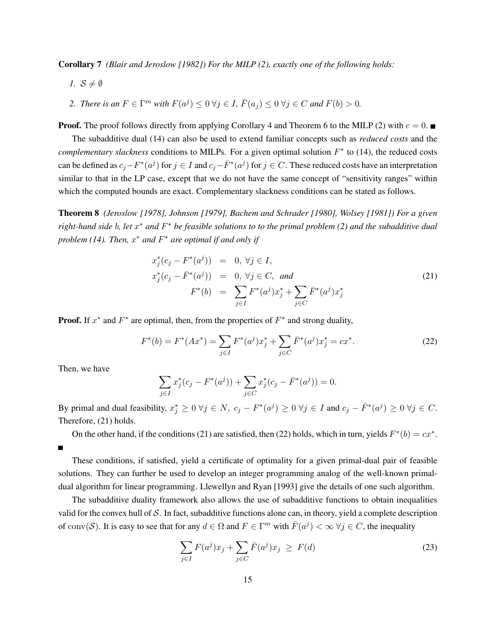Corollary 7 *(Blair and Jeroslow [1982]) For the MILP (2), exactly one of the following holds:*

*1.*  $S \neq \emptyset$ 

2. There is an 
$$
F \in \Gamma^m
$$
 with  $F(a^j) \leq 0 \forall j \in I$ ,  $\overline{F}(a_j) \leq 0 \forall j \in C$  and  $F(b) > 0$ .

**Proof.** The proof follows directly from applying Corollary 4 and Theorem 6 to the MILP (2) with  $c = 0$ .

The subadditive dual (14) can also be used to extend familiar concepts such as *reduced costs* and the *complementary slackness* conditions to MILPs. For a given optimal solution  $F^*$  to (14), the reduced costs can be defined as  $c_j - F^*(a^j)$  for  $j \in I$  and  $c_j - \bar{F}^*(a^j)$  for  $j \in C$ . These reduced costs have an interpretation similar to that in the LP case, except that we do not have the same concept of "sensitivity ranges" within which the computed bounds are exact. Complementary slackness conditions can be stated as follows.

Theorem 8 *(Jeroslow [1978], Johnson [1979], Bachem and Schrader [1980], Wolsey [1981]) For a given right-hand side* b*, let* x <sup>∗</sup> *and* F <sup>∗</sup> *be feasible solutions to to the primal problem (2) and the subadditive dual problem (14). Then,*  $x^*$  *and*  $F^*$  *are optimal if and only if* 

$$
x_j^*(c_j - F^*(a^j)) = 0, \forall j \in I, \n x_j^*(c_j - \bar{F}^*(a^j)) = 0, \forall j \in C, and \n F^*(b) = \sum_{j \in I} F^*(a^j) x_j^* + \sum_{j \in C} \bar{F}^*(a^j) x_j^* \tag{21}
$$

**Proof.** If  $x^*$  and  $F^*$  are optimal, then, from the properties of  $F^*$  and strong duality,

$$
F^*(b) = F^*(Ax^*) = \sum_{j \in I} F^*(a^j)x_j^* + \sum_{j \in C} \bar{F}^*(a^j)x_j^* = cx^*.
$$
 (22)

Then, we have

 $\blacksquare$ 

$$
\sum_{j \in I} x_j^*(c_j - F^*(a^j)) + \sum_{j \in C} x_j^*(c_j - \bar{F}^*(a^j)) = 0.
$$

By primal and dual feasibility,  $x_j^* \ge 0$   $\forall j \in N$ ,  $c_j - F^*(a^j) \ge 0$   $\forall j \in I$  and  $c_j - \overline{F}^*(a^j) \ge 0$   $\forall j \in C$ . Therefore, (21) holds.

On the other hand, if the conditions (21) are satisfied, then (22) holds, which in turn, yields  $F^*(b) = cx^*$ .

These conditions, if satisfied, yield a certificate of optimality for a given primal-dual pair of feasible solutions. They can further be used to develop an integer programming analog of the well-known primaldual algorithm for linear programming. Llewellyn and Ryan [1993] give the details of one such algorithm.

The subadditive duality framework also allows the use of subadditive functions to obtain inequalities valid for the convex hull of S. In fact, subadditive functions alone can, in theory, yield a complete description of conv(S). It is easy to see that for any  $d \in \Omega$  and  $F \in \Gamma^m$  with  $\bar{F}(a^j) < \infty$   $\forall j \in C$ , the inequality

$$
\sum_{j\in I} F(a^j)x_j + \sum_{j\in C} \bar{F}(a^j)x_j \ge F(d)
$$
\n(23)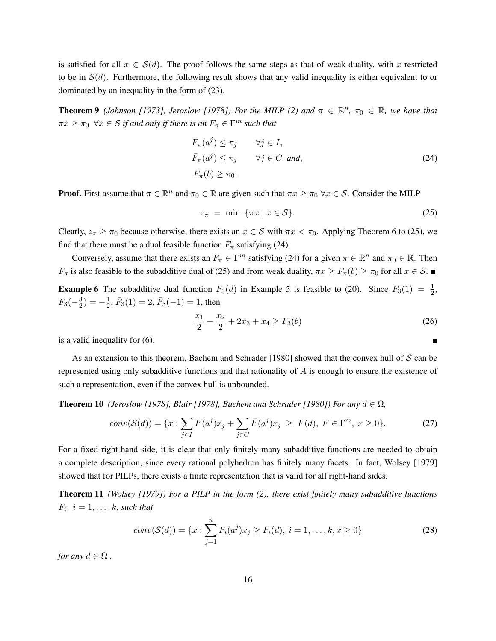is satisfied for all  $x \in S(d)$ . The proof follows the same steps as that of weak duality, with x restricted to be in  $\mathcal{S}(d)$ . Furthermore, the following result shows that any valid inequality is either equivalent to or dominated by an inequality in the form of (23).

**Theorem 9** (Johnson [1973], Jeroslow [1978]) For the MILP (2) and  $\pi \in \mathbb{R}^n$ ,  $\pi_0 \in \mathbb{R}$ , we have that  $\pi x \geq \pi_0 \ \ \forall x \in \mathcal{S}$  if and only if there is an  $F_\pi \in \Gamma^m$  such that

$$
F_{\pi}(a^{j}) \leq \pi_{j} \qquad \forall j \in I,
$$
  
\n
$$
\bar{F}_{\pi}(a^{j}) \leq \pi_{j} \qquad \forall j \in C \text{ and,}
$$
  
\n
$$
F_{\pi}(b) \geq \pi_{0}.
$$
\n(24)

**Proof.** First assume that  $\pi \in \mathbb{R}^n$  and  $\pi_0 \in \mathbb{R}$  are given such that  $\pi x \ge \pi_0 \ \forall x \in \mathcal{S}$ . Consider the MILP

$$
z_{\pi} = \min \left\{ \pi x \mid x \in \mathcal{S} \right\}.
$$
\n
$$
(25)
$$

Clearly,  $z_{\pi} \geq \pi_0$  because otherwise, there exists an  $\bar{x} \in S$  with  $\pi \bar{x} < \pi_0$ . Applying Theorem 6 to (25), we find that there must be a dual feasible function  $F_{\pi}$  satisfying (24).

Conversely, assume that there exists an  $F_{\pi} \in \Gamma^m$  satisfying (24) for a given  $\pi \in \mathbb{R}^n$  and  $\pi_0 \in \mathbb{R}$ . Then  $F_{\pi}$  is also feasible to the subadditive dual of (25) and from weak duality,  $\pi x \ge F_{\pi}(b) \ge \pi_0$  for all  $x \in S$ .

**Example 6** The subadditive dual function  $F_3(d)$  in Example 5 is feasible to (20). Since  $F_3(1) = \frac{1}{2}$ ,  $F_3(-\frac{3}{2})$  $(\frac{3}{2}) = -\frac{1}{2}$  $\frac{1}{2}$ ,  $\bar{F}_3(1) = 2$ ,  $\bar{F}_3(-1) = 1$ , then

$$
\frac{x_1}{2} - \frac{x_2}{2} + 2x_3 + x_4 \ge F_3(b)
$$
\n(26)

Е

is a valid inequality for (6).

As an extension to this theorem, Bachem and Schrader [1980] showed that the convex hull of  $S$  can be represented using only subadditive functions and that rationality of A is enough to ensure the existence of such a representation, even if the convex hull is unbounded.

**Theorem 10** *(Jeroslow [1978], Blair [1978], Bachem and Schrader [1980]) For any*  $d \in \Omega$ ,

$$
conv(\mathcal{S}(d)) = \{x : \sum_{j \in I} F(a^j) x_j + \sum_{j \in C} \bar{F}(a^j) x_j \ge F(d), \ F \in \Gamma^m, \ x \ge 0\}.
$$
 (27)

For a fixed right-hand side, it is clear that only finitely many subadditive functions are needed to obtain a complete description, since every rational polyhedron has finitely many facets. In fact, Wolsey [1979] showed that for PILPs, there exists a finite representation that is valid for all right-hand sides.

Theorem 11 *(Wolsey [1979]) For a PILP in the form (2), there exist finitely many subadditive functions*  $F_i, i = 1, \ldots, k$ *, such that* 

$$
conv(\mathcal{S}(d)) = \{x : \sum_{j=1}^{n} F_i(a^j) x_j \ge F_i(d), \ i = 1, \dots, k, x \ge 0\}
$$
 (28)

*for any*  $d \in \Omega$ .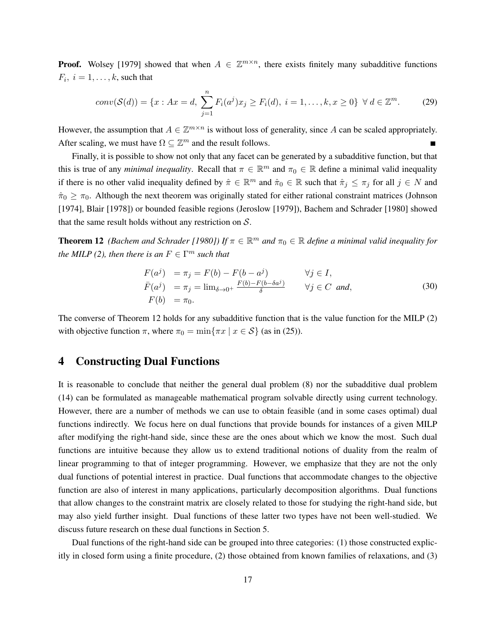**Proof.** Wolsey [1979] showed that when  $A \in \mathbb{Z}^{m \times n}$ , there exists finitely many subadditive functions  $F_i, i = 1, \ldots, k$ , such that

$$
conv(\mathcal{S}(d)) = \{x : Ax = d, \sum_{j=1}^{n} F_i(a^j) x_j \ge F_i(d), i = 1, ..., k, x \ge 0\} \ \forall \ d \in \mathbb{Z}^m.
$$
 (29)

However, the assumption that  $A \in \mathbb{Z}^{m \times n}$  is without loss of generality, since A can be scaled appropriately. After scaling, we must have  $\Omega \subseteq \mathbb{Z}^m$  and the result follows.  $\blacksquare$ 

Finally, it is possible to show not only that any facet can be generated by a subadditive function, but that this is true of any *minimal inequality*. Recall that  $\pi \in \mathbb{R}^m$  and  $\pi_0 \in \mathbb{R}$  define a minimal valid inequality if there is no other valid inequality defined by  $\hat{\pi} \in \mathbb{R}^m$  and  $\hat{\pi}_0 \in \mathbb{R}$  such that  $\hat{\pi}_j \leq \pi_j$  for all  $j \in N$  and  $\hat{\pi}_0 \geq \pi_0$ . Although the next theorem was originally stated for either rational constraint matrices (Johnson [1974], Blair [1978]) or bounded feasible regions (Jeroslow [1979]), Bachem and Schrader [1980] showed that the same result holds without any restriction on  $S$ .

**Theorem 12** (Bachem and Schrader [1980]) If  $\pi \in \mathbb{R}^m$  and  $\pi_0 \in \mathbb{R}$  define a minimal valid inequality for *the MILP* (2), then there is an  $F \in \Gamma^m$  such that

$$
F(aj) = \pi_j = F(b) - F(b - aj) \qquad \forall j \in I,
$$
  
\n
$$
\bar{F}(aj) = \pi_j = \lim_{\delta \to 0^+} \frac{F(b) - F(b - \delta aj)}{\delta} \qquad \forall j \in C \text{ and,}
$$
  
\n
$$
F(b) = \pi_0.
$$
\n(30)

The converse of Theorem 12 holds for any subadditive function that is the value function for the MILP (2) with objective function  $\pi$ , where  $\pi_0 = \min{\pi x \mid x \in S}$  (as in (25)).

## 4 Constructing Dual Functions

It is reasonable to conclude that neither the general dual problem (8) nor the subadditive dual problem (14) can be formulated as manageable mathematical program solvable directly using current technology. However, there are a number of methods we can use to obtain feasible (and in some cases optimal) dual functions indirectly. We focus here on dual functions that provide bounds for instances of a given MILP after modifying the right-hand side, since these are the ones about which we know the most. Such dual functions are intuitive because they allow us to extend traditional notions of duality from the realm of linear programming to that of integer programming. However, we emphasize that they are not the only dual functions of potential interest in practice. Dual functions that accommodate changes to the objective function are also of interest in many applications, particularly decomposition algorithms. Dual functions that allow changes to the constraint matrix are closely related to those for studying the right-hand side, but may also yield further insight. Dual functions of these latter two types have not been well-studied. We discuss future research on these dual functions in Section 5.

Dual functions of the right-hand side can be grouped into three categories: (1) those constructed explicitly in closed form using a finite procedure, (2) those obtained from known families of relaxations, and (3)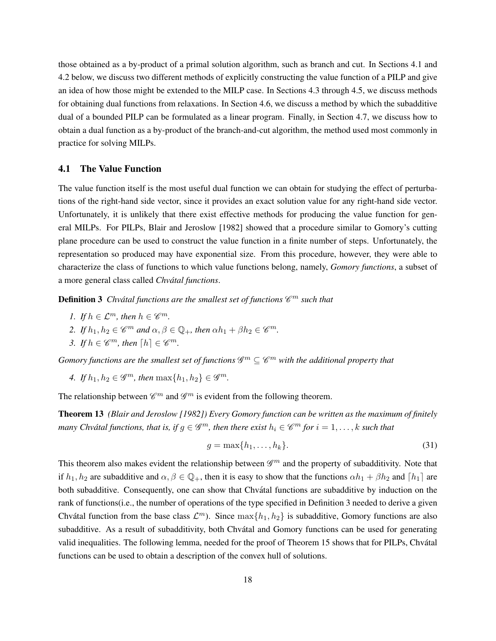those obtained as a by-product of a primal solution algorithm, such as branch and cut. In Sections 4.1 and 4.2 below, we discuss two different methods of explicitly constructing the value function of a PILP and give an idea of how those might be extended to the MILP case. In Sections 4.3 through 4.5, we discuss methods for obtaining dual functions from relaxations. In Section 4.6, we discuss a method by which the subadditive dual of a bounded PILP can be formulated as a linear program. Finally, in Section 4.7, we discuss how to obtain a dual function as a by-product of the branch-and-cut algorithm, the method used most commonly in practice for solving MILPs.

## 4.1 The Value Function

The value function itself is the most useful dual function we can obtain for studying the effect of perturbations of the right-hand side vector, since it provides an exact solution value for any right-hand side vector. Unfortunately, it is unlikely that there exist effective methods for producing the value function for general MILPs. For PILPs, Blair and Jeroslow [1982] showed that a procedure similar to Gomory's cutting plane procedure can be used to construct the value function in a finite number of steps. Unfortunately, the representation so produced may have exponential size. From this procedure, however, they were able to characterize the class of functions to which value functions belong, namely, *Gomory functions*, a subset of a more general class called *Chvatal functions ´* .

**Definition 3** Chvátal functions are the smallest set of functions  $\mathscr{C}^m$  such that

- *1. If*  $h \in \mathcal{L}^m$ , then  $h \in \mathcal{C}^m$ .
- 2. If  $h_1, h_2 \in \mathscr{C}^m$  and  $\alpha, \beta \in \mathbb{Q}_+$ , then  $\alpha h_1 + \beta h_2 \in \mathscr{C}^m$ .
- *3. If*  $h \in \mathscr{C}^m$ , then  $[h] \in \mathscr{C}^m$ .

Gomory functions are the smallest set of functions  $\mathscr{G}^m \subseteq \mathscr{C}^m$  with the additional property that

*4. If*  $h_1, h_2 \in \mathscr{G}^m$ , then  $\max\{h_1, h_2\} \in \mathscr{G}^m$ .

The relationship between  $\mathscr{C}^m$  and  $\mathscr{G}^m$  is evident from the following theorem.

Theorem 13 *(Blair and Jeroslow [1982]) Every Gomory function can be written as the maximum of finitely many Chvátal functions, that is, if*  $g \in \mathscr{G}^m$ *, then there exist*  $h_i \in \mathscr{C}^m$  *for*  $i = 1, \ldots, k$  *such that* 

$$
g = \max\{h_1, \dots, h_k\}.\tag{31}
$$

This theorem also makes evident the relationship between  $\mathscr{G}^m$  and the property of subadditivity. Note that if  $h_1, h_2$  are subadditive and  $\alpha, \beta \in \mathbb{Q}_+$ , then it is easy to show that the functions  $\alpha h_1 + \beta h_2$  and  $\lceil h_1 \rceil$  are both subadditive. Consequently, one can show that Chvátal functions are subadditive by induction on the rank of functions(i.e., the number of operations of the type specified in Definition 3 needed to derive a given Chvátal function from the base class  $\mathcal{L}^m$ ). Since  $\max\{h_1, h_2\}$  is subadditive, Gomory functions are also subadditive. As a result of subadditivity, both Chvátal and Gomory functions can be used for generating valid inequalities. The following lemma, needed for the proof of Theorem 15 shows that for PILPs, Chvátal functions can be used to obtain a description of the convex hull of solutions.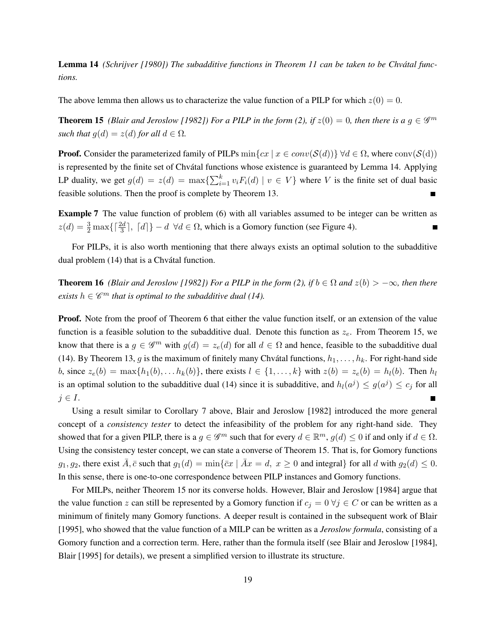Lemma 14 *(Schrijver [1980]) The subadditive functions in Theorem 11 can be taken to be Chvatal func- ´ tions.*

The above lemma then allows us to characterize the value function of a PILP for which  $z(0) = 0$ .

**Theorem 15** (Blair and Jeroslow [1982]) For a PILP in the form (2), if  $z(0) = 0$ , then there is a  $g \in \mathscr{G}^m$ *such that*  $g(d) = z(d)$  *for all*  $d \in \Omega$ *.* 

**Proof.** Consider the parameterized family of PILPs  $\min\{cx \mid x \in conv(\mathcal{S}(d))\} \forall d \in \Omega$ , where  $\text{conv}(\mathcal{S}(d))$ is represented by the finite set of Chvátal functions whose existence is guaranteed by Lemma 14. Applying LP duality, we get  $g(d) = z(d) = \max\{\sum_{i=1}^{k} v_i F_i(d) \mid v \in V\}$  where V is the finite set of dual basic feasible solutions. Then the proof is complete by Theorem 13.

Example 7 The value function of problem (6) with all variables assumed to be integer can be written as  $z(d) = \frac{3}{2} \max\{\lceil \frac{2d}{3} \rceil, \lceil d \rceil\} - d \ \forall d \in \Omega$ , which is a Gomory function (see Figure 4).

For PILPs, it is also worth mentioning that there always exists an optimal solution to the subadditive dual problem (14) that is a Chvátal function.

**Theorem 16** *(Blair and Jeroslow [1982]) For a PILP in the form (2), if*  $b \in \Omega$  *and*  $z(b) > -\infty$ *, then there exists*  $h \in \mathscr{C}^m$  *that is optimal to the subadditive dual (14).* 

**Proof.** Note from the proof of Theorem 6 that either the value function itself, or an extension of the value function is a feasible solution to the subadditive dual. Denote this function as  $z_e$ . From Theorem 15, we know that there is a  $g \in \mathscr{G}^m$  with  $g(d) = z_e(d)$  for all  $d \in \Omega$  and hence, feasible to the subadditive dual (14). By Theorem 13, g is the maximum of finitely many Chvátal functions,  $h_1, \ldots, h_k$ . For right-hand side b, since  $z_e(b) = \max\{h_1(b), \ldots h_k(b)\}\$ , there exists  $l \in \{1, \ldots, k\}$  with  $z(b) = z_e(b) = h_l(b)\$ . Then  $h_l$ is an optimal solution to the subadditive dual (14) since it is subadditive, and  $h_l(a^j) \le g(a^j) \le c_j$  for all  $j \in I$ .

Using a result similar to Corollary 7 above, Blair and Jeroslow [1982] introduced the more general concept of a *consistency tester* to detect the infeasibility of the problem for any right-hand side. They showed that for a given PILP, there is a  $g \in \mathscr{G}^m$  such that for every  $d \in \mathbb{R}^m$ ,  $g(d) \leq 0$  if and only if  $d \in \Omega$ . Using the consistency tester concept, we can state a converse of Theorem 15. That is, for Gomory functions  $g_1, g_2$ , there exist  $\overline{A}, \overline{c}$  such that  $g_1(d) = \min{\{\overline{c}x \mid \overline{A}x = d, x \geq 0\}}$  and integral for all d with  $g_2(d) \leq 0$ . In this sense, there is one-to-one correspondence between PILP instances and Gomory functions.

For MILPs, neither Theorem 15 nor its converse holds. However, Blair and Jeroslow [1984] argue that the value function z can still be represented by a Gomory function if  $c_j = 0 \forall j \in C$  or can be written as a minimum of finitely many Gomory functions. A deeper result is contained in the subsequent work of Blair [1995], who showed that the value function of a MILP can be written as a *Jeroslow formula*, consisting of a Gomory function and a correction term. Here, rather than the formula itself (see Blair and Jeroslow [1984], Blair [1995] for details), we present a simplified version to illustrate its structure.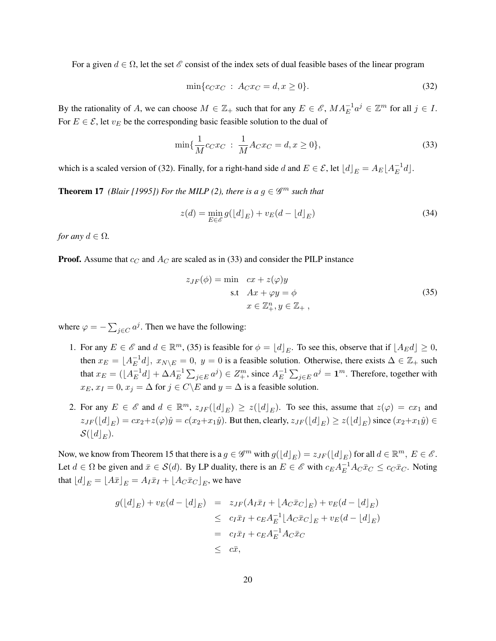For a given  $d \in \Omega$ , let the set  $\mathscr E$  consist of the index sets of dual feasible bases of the linear program

$$
\min\{c_C x_C : A_C x_C = d, x \ge 0\}.\tag{32}
$$

By the rationality of A, we can choose  $M \in \mathbb{Z}_+$  such that for any  $E \in \mathscr{E}$ ,  $MA_E^{-1}a^j \in \mathbb{Z}^m$  for all  $j \in I$ . For  $E \in \mathcal{E}$ , let  $v_E$  be the corresponding basic feasible solution to the dual of

$$
\min\{\frac{1}{M}c_Cx_C\,:\,\frac{1}{M}A_Cx_C = d, x \ge 0\},\tag{33}
$$

which is a scaled version of (32). Finally, for a right-hand side d and  $E \in \mathcal{E}$ , let  $\lfloor d \rfloor_E = A_E \lfloor A_E^{-1} \rfloor$  $\bar{E}^{\perp}d$ .

**Theorem 17** *(Blair [1995]) For the MILP (2), there is a*  $g \in \mathscr{G}^m$  *such that* 

$$
z(d) = \min_{E \in \mathcal{E}} g(\lfloor d \rfloor_E) + v_E(d - \lfloor d \rfloor_E)
$$
\n(34)

*for any*  $d \in \Omega$ *.* 

**Proof.** Assume that  $c_C$  and  $A_C$  are scaled as in (33) and consider the PILP instance

$$
z_{JF}(\phi) = \min \quad cx + z(\varphi)y
$$
  
s.t 
$$
Ax + \varphi y = \phi
$$

$$
x \in \mathbb{Z}_+^n, y \in \mathbb{Z}_+,
$$
 (35)

where  $\varphi = -\sum_{j \in C} a^j$ . Then we have the following:

- 1. For any  $E \in \mathscr{E}$  and  $d \in \mathbb{R}^m$ , (35) is feasible for  $\phi = [d]_E$ . To see this, observe that if  $[A_E d] \ge 0$ , then  $x_E = \lfloor A_E^{-1} \rfloor$  $\mathbb{E}^{-1}d$ ,  $x_{N\setminus E} = 0$ ,  $y = 0$  is a feasible solution. Otherwise, there exists  $\Delta \in \mathbb{Z}_+$  such that  $x_E = (\lfloor A_E^{-1} \rfloor)$  $\frac{-1}{E}d\rfloor + \Delta A_E^{-1}$  $\sum_{j\in E} a^j$   $\in Z^m_+$ , since  $A^{-1}_E$  $\overline{E}^1 \sum_{j \in E} a^j = \mathbf{1}^m$ . Therefore, together with  $x_E, x_I = 0, x_j = \Delta$  for  $j \in C \backslash E$  and  $y = \Delta$  is a feasible solution.
- 2. For any  $E \in \mathscr{E}$  and  $d \in \mathbb{R}^m$ ,  $z_{JF}(\lfloor d \rfloor_E) \geq z(\lfloor d \rfloor_E)$ . To see this, assume that  $z(\varphi) = cx_1$  and  $z_{JF}([d]_E) = cx_2 + z(\varphi)\hat{y} = c(x_2+x_1\hat{y})$ . But then, clearly,  $z_{JF}([d]_E) \ge z([d]_E)$  since  $(x_2+x_1\hat{y}) \in$  $\mathcal{S}(\lfloor d \rfloor_E).$

Now, we know from Theorem 15 that there is a  $g \in \mathscr{G}^m$  with  $g(\lfloor d \rfloor_E) = z_{JF}(\lfloor d \rfloor_E)$  for all  $d \in \mathbb{R}^m$ ,  $E \in \mathscr{E}$ . Let  $d \in \Omega$  be given and  $\bar{x} \in S(d)$ . By LP duality, there is an  $E \in \mathscr{E}$  with  $c_E A_E^{-1} A_C \bar{x}_C \le c_C \bar{x}_C$ . Noting that  $\lfloor d \rfloor_E = \lfloor A\bar{x} \rfloor_E = A_I \bar{x}_I + \lfloor A_C \bar{x}_C \rfloor_E$ , we have

$$
g(\lfloor d \rfloor_E) + v_E(d - \lfloor d \rfloor_E) = z_{JF}(A_I \bar{x}_I + \lfloor A_C \bar{x}_C \rfloor_E) + v_E(d - \lfloor d \rfloor_E)
$$
  
\n
$$
\leq c_I \bar{x}_I + c_E A_E^{-1} \lfloor A_C \bar{x}_C \rfloor_E + v_E(d - \lfloor d \rfloor_E)
$$
  
\n
$$
= c_I \bar{x}_I + c_E A_E^{-1} A_C \bar{x}_C
$$
  
\n
$$
\leq c\bar{x},
$$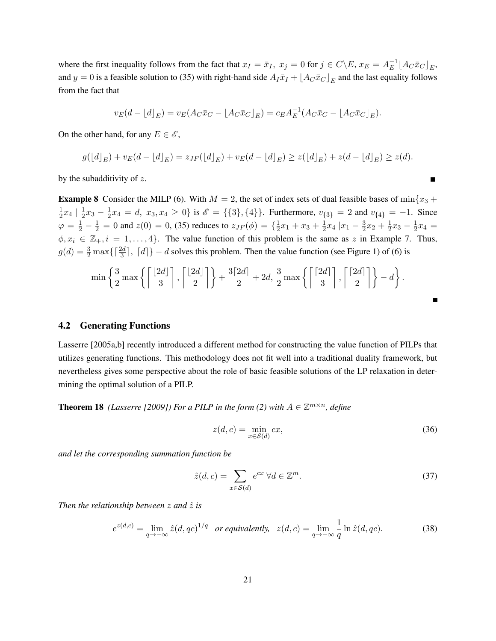where the first inequality follows from the fact that  $x_I = \bar{x}_I$ ,  $x_j = 0$  for  $j \in C \backslash E$ ,  $x_E = A_E^{-1}$  $_E^{-1} \lfloor A_C \bar{x}_C \rfloor_E,$ and  $y = 0$  is a feasible solution to (35) with right-hand side  $A_I \bar{x}_I + [A_C \bar{x}_C]_E$  and the last equality follows from the fact that

$$
v_E(d - \lfloor d \rfloor_E) = v_E(A_C \bar{x}_C - \lfloor A_C \bar{x}_C \rfloor_E) = c_E A_E^{-1}(A_C \bar{x}_C - \lfloor A_C \bar{x}_C \rfloor_E).
$$

On the other hand, for any  $E \in \mathscr{E}$ ,

$$
g([d]_E) + v_E(d - [d]_E) = z_{JF}([d]_E) + v_E(d - [d]_E) \ge z([d]_E) + z(d - [d]_E) \ge z(d).
$$

by the subadditivity of z.

**Example 8** Consider the MILP (6). With  $M = 2$ , the set of index sets of dual feasible bases of min $\{x_3 +$ 1  $\frac{1}{2}x_4 \mid \frac{1}{2}$  $\frac{1}{2}x_3-\frac{1}{2}$  $\frac{1}{2}x_4 = d, x_3, x_4 \ge 0$ } is  $\mathscr{E} = \{\{3\}, \{4\}\}\$ . Furthermore,  $v_{\{3\}} = 2$  and  $v_{\{4\}} = -1$ . Since  $\varphi = \frac{1}{2} - \frac{1}{2} = 0$  and  $z(0) = 0$ , (35) reduces to  $z_{JF}(\phi) = \{\frac{1}{2}$  $\frac{1}{2}x_1 + x_3 + \frac{1}{2}$  $\frac{1}{2}x_4$  | $x_1-\frac{3}{2}$  $\frac{3}{2}x_2 + \frac{1}{2}$  $\frac{1}{2}x_3-\frac{1}{2}$  $\frac{1}{2}x_4 =$  $\phi, x_i \in \mathbb{Z}_+, i = 1, \ldots, 4\}$ . The value function of this problem is the same as z in Example 7. Thus,  $g(d) = \frac{3}{2} \max\{\lceil \frac{2d}{3} \rceil, \lceil d \rceil\} - d$  solves this problem. Then the value function (see Figure 1) of (6) is

$$
\min\left\{\frac{3}{2}\max\left\{\left\lceil\frac{\lfloor 2d\rfloor}{3}\right\rceil, \left\lceil\frac{\lfloor 2d\rfloor}{2}\right\rceil\right\} + \frac{3\lceil 2d\rceil}{2} + 2d, \frac{3}{2}\max\left\{\left\lceil\frac{\lceil 2d\rceil}{3}\right\rceil, \left\lceil\frac{\lceil 2d\rceil}{2}\right\rceil\right\} - d\right\}.
$$

## 4.2 Generating Functions

Lasserre [2005a,b] recently introduced a different method for constructing the value function of PILPs that utilizes generating functions. This methodology does not fit well into a traditional duality framework, but nevertheless gives some perspective about the role of basic feasible solutions of the LP relaxation in determining the optimal solution of a PILP.

**Theorem 18** *(Lasserre [2009]) For a PILP in the form (2) with*  $A \in \mathbb{Z}^{m \times n}$ *, define* 

$$
z(d,c) = \min_{x \in \mathcal{S}(d)} cx,\tag{36}
$$

 $\blacksquare$ 

*and let the corresponding summation function be*

$$
\hat{z}(d,c) = \sum_{x \in \mathcal{S}(d)} e^{cx} \ \forall d \in \mathbb{Z}^m.
$$
\n(37)

*Then the relationship between*  $z$  *and*  $\hat{z}$  *is* 

$$
e^{z(d,c)} = \lim_{q \to -\infty} \hat{z}(d, qc)^{1/q} \quad \text{or equivalently,} \quad z(d,c) = \lim_{q \to -\infty} \frac{1}{q} \ln \hat{z}(d, qc). \tag{38}
$$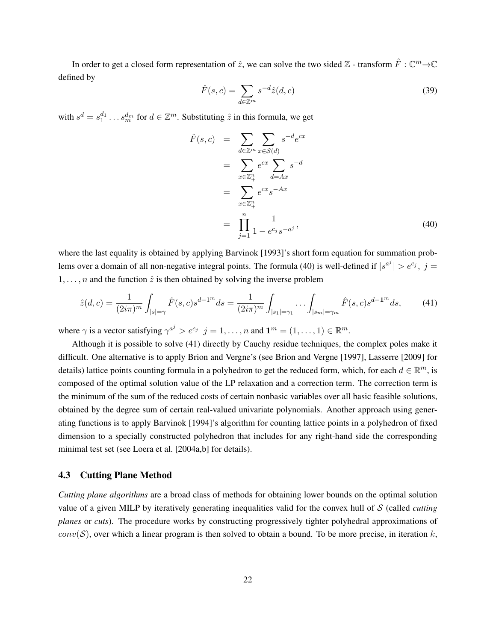In order to get a closed form representation of  $\hat{z}$ , we can solve the two sided  $\mathbb{Z}$  - transform  $\hat{F}: \mathbb{C}^m \to \mathbb{C}$ defined by

$$
\hat{F}(s,c) = \sum_{d \in \mathbb{Z}^m} s^{-d} \hat{z}(d,c) \tag{39}
$$

with  $s^d = s_1^{d_1} \dots s_m^{d_m}$  for  $d \in \mathbb{Z}^m$ . Substituting  $\hat{z}$  in this formula, we get

$$
\hat{F}(s,c) = \sum_{d \in \mathbb{Z}^m} \sum_{x \in S(d)} s^{-d} e^{cx} \n= \sum_{x \in \mathbb{Z}_+^n} e^{cx} \sum_{d=Ax} s^{-d} \n= \sum_{x \in \mathbb{Z}_+^n} e^{cx} s^{-Ax} \n= \prod_{j=1}^n \frac{1}{1 - e^{c_j} s^{-a^j}},
$$
\n(40)

where the last equality is obtained by applying Barvinok [1993]'s short form equation for summation problems over a domain of all non-negative integral points. The formula (40) is well-defined if  $|s^{a^j}| > e^{c_j}$ ,  $j =$  $1, \ldots, n$  and the function  $\hat{z}$  is then obtained by solving the inverse problem

$$
\hat{z}(d,c) = \frac{1}{(2i\pi)^m} \int_{|s|=\gamma} \hat{F}(s,c)s^{d-1^m}ds = \frac{1}{(2i\pi)^m} \int_{|s_1|=\gamma_1} \cdots \int_{|s_m|=\gamma_m} \hat{F}(s,c)s^{d-1^m}ds,\tag{41}
$$

where  $\gamma$  is a vector satisfying  $\gamma^{a^j} > e^{c_j}$   $j = 1, ..., n$  and  $\mathbf{1}^m = (1, ..., 1) \in \mathbb{R}^m$ .

Although it is possible to solve (41) directly by Cauchy residue techniques, the complex poles make it difficult. One alternative is to apply Brion and Vergne's (see Brion and Vergne [1997], Lasserre [2009] for details) lattice points counting formula in a polyhedron to get the reduced form, which, for each  $d \in \mathbb{R}^m$ , is composed of the optimal solution value of the LP relaxation and a correction term. The correction term is the minimum of the sum of the reduced costs of certain nonbasic variables over all basic feasible solutions, obtained by the degree sum of certain real-valued univariate polynomials. Another approach using generating functions is to apply Barvinok [1994]'s algorithm for counting lattice points in a polyhedron of fixed dimension to a specially constructed polyhedron that includes for any right-hand side the corresponding minimal test set (see Loera et al. [2004a,b] for details).

#### 4.3 Cutting Plane Method

*Cutting plane algorithms* are a broad class of methods for obtaining lower bounds on the optimal solution value of a given MILP by iteratively generating inequalities valid for the convex hull of S (called *cutting planes* or *cuts*). The procedure works by constructing progressively tighter polyhedral approximations of  $conv(S)$ , over which a linear program is then solved to obtain a bound. To be more precise, in iteration k,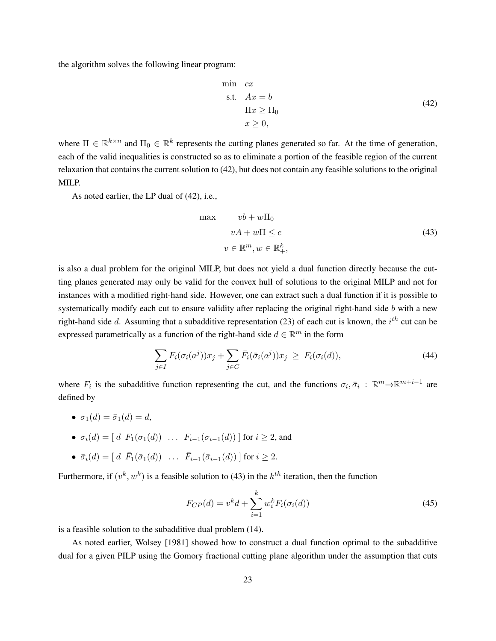the algorithm solves the following linear program:

$$
\begin{aligned}\n\min \quad cx\\
\text{s.t.} \quad Ax &= b\\
\text{II}x &\geq \text{II}_0\\
x &\geq 0,\n\end{aligned} \tag{42}
$$

where  $\Pi \in \mathbb{R}^{k \times n}$  and  $\Pi_0 \in \mathbb{R}^k$  represents the cutting planes generated so far. At the time of generation, each of the valid inequalities is constructed so as to eliminate a portion of the feasible region of the current relaxation that contains the current solution to (42), but does not contain any feasible solutions to the original MILP.

As noted earlier, the LP dual of (42), i.e.,

$$
\max \qquad \begin{aligned}\n vb + w\Pi_0\\
 vA + w\Pi \le c\\
 v \in \mathbb{R}^m, w \in \mathbb{R}^k_+, \end{aligned} \tag{43}
$$

is also a dual problem for the original MILP, but does not yield a dual function directly because the cutting planes generated may only be valid for the convex hull of solutions to the original MILP and not for instances with a modified right-hand side. However, one can extract such a dual function if it is possible to systematically modify each cut to ensure validity after replacing the original right-hand side b with a new right-hand side d. Assuming that a subadditive representation (23) of each cut is known, the  $i^{th}$  cut can be expressed parametrically as a function of the right-hand side  $d \in \mathbb{R}^m$  in the form

$$
\sum_{j\in I} F_i(\sigma_i(a^j))x_j + \sum_{j\in C} \bar{F}_i(\bar{\sigma}_i(a^j))x_j \geq F_i(\sigma_i(d)),\tag{44}
$$

where  $F_i$  is the subadditive function representing the cut, and the functions  $\sigma_i, \bar{\sigma}_i$ :  $\mathbb{R}^m \to \mathbb{R}^{m+i-1}$  are defined by

- $\sigma_1(d) = \bar{\sigma}_1(d) = d$ ,
- $\sigma_i(d) = [d \ F_1(\sigma_1(d)) \ \ldots \ F_{i-1}(\sigma_{i-1}(d))]$  for  $i \ge 2$ , and
- $\bar{\sigma}_i(d) = [d \ \bar{F}_1(\bar{\sigma}_1(d)) \ \ldots \ \bar{F}_{i-1}(\bar{\sigma}_{i-1}(d))]$  for  $i \geq 2$ .

Furthermore, if  $(v^k, w^k)$  is a feasible solution to (43) in the  $k^{th}$  iteration, then the function

$$
F_{CP}(d) = v^k d + \sum_{i=1}^k w_i^k F_i(\sigma_i(d))
$$
\n(45)

is a feasible solution to the subadditive dual problem (14).

As noted earlier, Wolsey [1981] showed how to construct a dual function optimal to the subadditive dual for a given PILP using the Gomory fractional cutting plane algorithm under the assumption that cuts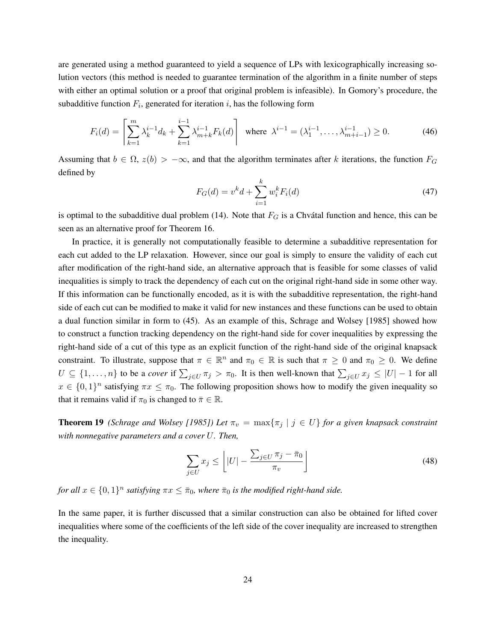are generated using a method guaranteed to yield a sequence of LPs with lexicographically increasing solution vectors (this method is needed to guarantee termination of the algorithm in a finite number of steps with either an optimal solution or a proof that original problem is infeasible). In Gomory's procedure, the subadditive function  $F_i$ , generated for iteration i, has the following form

$$
F_i(d) = \left[ \sum_{k=1}^m \lambda_k^{i-1} d_k + \sum_{k=1}^{i-1} \lambda_{m+k}^{i-1} F_k(d) \right] \text{ where } \lambda^{i-1} = (\lambda_1^{i-1}, \dots, \lambda_{m+i-1}^{i-1}) \ge 0. \tag{46}
$$

Assuming that  $b \in \Omega$ ,  $z(b) > -\infty$ , and that the algorithm terminates after k iterations, the function  $F_G$ defined by

$$
F_G(d) = v^k d + \sum_{i=1}^k w_i^k F_i(d)
$$
\n(47)

is optimal to the subadditive dual problem (14). Note that  $F_G$  is a Chvátal function and hence, this can be seen as an alternative proof for Theorem 16.

In practice, it is generally not computationally feasible to determine a subadditive representation for each cut added to the LP relaxation. However, since our goal is simply to ensure the validity of each cut after modification of the right-hand side, an alternative approach that is feasible for some classes of valid inequalities is simply to track the dependency of each cut on the original right-hand side in some other way. If this information can be functionally encoded, as it is with the subadditive representation, the right-hand side of each cut can be modified to make it valid for new instances and these functions can be used to obtain a dual function similar in form to (45). As an example of this, Schrage and Wolsey [1985] showed how to construct a function tracking dependency on the right-hand side for cover inequalities by expressing the right-hand side of a cut of this type as an explicit function of the right-hand side of the original knapsack constraint. To illustrate, suppose that  $\pi \in \mathbb{R}^n$  and  $\pi_0 \in \mathbb{R}$  is such that  $\pi \geq 0$  and  $\pi_0 \geq 0$ . We define  $U \subseteq \{1, \ldots, n\}$  to be a *cover* if  $\sum_{j \in U} \pi_j > \pi_0$ . It is then well-known that  $\sum_{j \in U} x_j \leq |U| - 1$  for all  $x \in \{0,1\}^n$  satisfying  $\pi x \leq \pi_0$ . The following proposition shows how to modify the given inequality so that it remains valid if  $\pi_0$  is changed to  $\bar{\pi} \in \mathbb{R}$ .

**Theorem 19** *(Schrage and Wolsey [1985]) Let*  $\pi_v = \max{\pi_j | j \in U}$  *for a given knapsack constraint with nonnegative parameters and a cover* U*. Then,*

$$
\sum_{j \in U} x_j \le \left[ |U| - \frac{\sum_{j \in U} \pi_j - \bar{\pi}_0}{\pi_v} \right]
$$
\n(48)

*for all*  $x \in \{0,1\}^n$  satisfying  $\pi x \leq \bar{\pi}_0$ , where  $\bar{\pi}_0$  is the modified right-hand side.

In the same paper, it is further discussed that a similar construction can also be obtained for lifted cover inequalities where some of the coefficients of the left side of the cover inequality are increased to strengthen the inequality.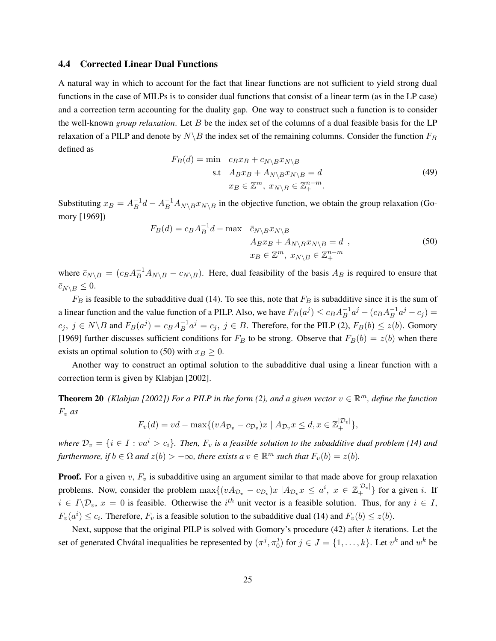#### 4.4 Corrected Linear Dual Functions

A natural way in which to account for the fact that linear functions are not sufficient to yield strong dual functions in the case of MILPs is to consider dual functions that consist of a linear term (as in the LP case) and a correction term accounting for the duality gap. One way to construct such a function is to consider the well-known *group relaxation*. Let B be the index set of the columns of a dual feasible basis for the LP relaxation of a PILP and denote by  $N\setminus B$  the index set of the remaining columns. Consider the function  $F_B$ defined as

$$
F_B(d) = \min \quad c_B x_B + c_{N \setminus B} x_{N \setminus B}
$$
  
s.t 
$$
A_B x_B + A_{N \setminus B} x_{N \setminus B} = d
$$

$$
x_B \in \mathbb{Z}^m, \ x_{N \setminus B} \in \mathbb{Z}_+^{n-m}.
$$

$$
(49)
$$

Substituting  $x_B = A_B^{-1}$  $B^{-1}d - A^{-1}A_{N\setminus B}x_{N\setminus B}$  in the objective function, we obtain the group relaxation (Gomory [1969])

$$
F_B(d) = c_B A_B^{-1} d - \max \quad \bar{c}_{N \setminus B} x_{N \setminus B}
$$
  
\n
$$
A_{B} x_B + A_{N \setminus B} x_{N \setminus B} = d \quad ,
$$
  
\n
$$
x_B \in \mathbb{Z}^m, \ x_{N \setminus B} \in \mathbb{Z}_+^{n-m}
$$
\n(50)

where  $\bar{c}_{N\setminus B} = (c_B A_B^{-1} A_{N\setminus B} - c_{N\setminus B})$ . Here, dual feasibility of the basis  $A_B$  is required to ensure that  $\bar{c}_{N\setminus B} \leq 0.$ 

 $F_B$  is feasible to the subadditive dual (14). To see this, note that  $F_B$  is subadditive since it is the sum of a linear function and the value function of a PILP. Also, we have  $F_B(a^j) \le c_B A_B^{-1}$  $B^{-1}a^j - (c_B A_B^{-1})$  $B^{-1}a^{j} - c_{j} =$  $c_j, \ j \in N \backslash B$  and  $F_B(a^j) = c_B A_B^{-1}$  $B^{-1}a^j = c_j$ ,  $j \in B$ . Therefore, for the PILP (2),  $F_B(b) \leq z(b)$ . Gomory [1969] further discusses sufficient conditions for  $F_B$  to be strong. Observe that  $F_B(b) = z(b)$  when there exists an optimal solution to (50) with  $x_B \geq 0$ .

Another way to construct an optimal solution to the subadditive dual using a linear function with a correction term is given by Klabjan [2002].

**Theorem 20** (Klabjan [2002]) For a PILP in the form (2), and a given vector  $v \in \mathbb{R}^m$ , define the function  $F_v$  *as* 

$$
F_v(d) = vd - \max\{(vA_{\mathcal{D}_v} - c_{\mathcal{D}_v})x \mid A_{\mathcal{D}_v}x \leq d, x \in \mathbb{Z}_+^{|\mathcal{D}_v|}\},\
$$

*where*  $\mathcal{D}_v = \{i \in I : va^i > c_i\}$ . Then,  $F_v$  *is a feasible solution to the subadditive dual problem* (14) and *furthermore, if*  $b \in \Omega$  *and*  $z(b) > -\infty$ *, there exists a*  $v \in \mathbb{R}^m$  *such that*  $F_v(b) = z(b)$ *.* 

**Proof.** For a given  $v$ ,  $F_v$  is subadditive using an argument similar to that made above for group relaxation problems. Now, consider the problem  $\max\{(v A_{\mathcal{D}_v} - c_{\mathcal{D}_v})x \mid A_{\mathcal{D}_v} x \leq a^i, x \in \mathbb{Z}_+^{|\mathcal{D}_v|}\}$  for a given *i*. If  $i \in I \backslash \mathcal{D}_v$ ,  $x = 0$  is feasible. Otherwise the  $i^{th}$  unit vector is a feasible solution. Thus, for any  $i \in I$ ,  $F_v(a^i) \le c_i$ . Therefore,  $F_v$  is a feasible solution to the subadditive dual (14) and  $F_v(b) \le z(b)$ .

Next, suppose that the original PILP is solved with Gomory's procedure (42) after k iterations. Let the set of generated Chvátal inequalities be represented by  $(\pi^j, \pi_0^j)$  $\hat{y}_0^j$  for  $j \in J = \{1, \ldots, k\}$ . Let  $v^k$  and  $w^k$  be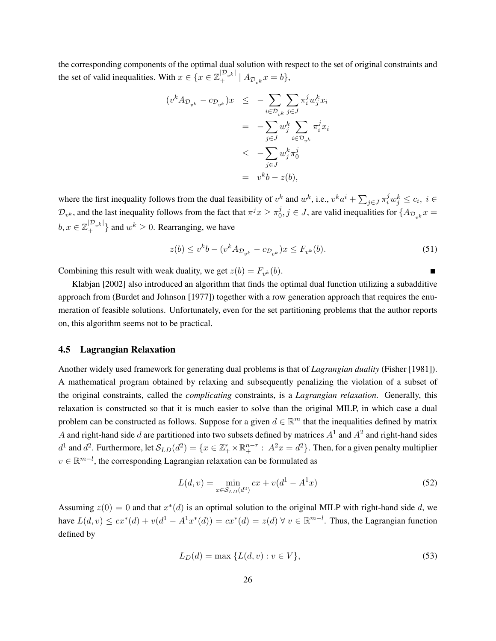the corresponding components of the optimal dual solution with respect to the set of original constraints and the set of valid inequalities. With  $x \in \{x \in \mathbb{Z}_+^{|\mathcal{D}_{v^k}|} \mid A_{\mathcal{D}_{v^k}} x = b\},$ 

$$
(v^k A_{\mathcal{D}_{v^k}} - c_{\mathcal{D}_{v^k}})x \le -\sum_{i \in \mathcal{D}_{v^k}} \sum_{j \in J} \pi_i^j w_j^k x_i
$$
  

$$
= -\sum_{j \in J} w_j^k \sum_{i \in \mathcal{D}_{v^k}} \pi_i^j x_i
$$
  

$$
\le -\sum_{j \in J} w_j^k \pi_0^j
$$
  

$$
= v^k b - z(b),
$$

where the first inequality follows from the dual feasibility of  $v^k$  and  $w^k$ , i.e.,  $v^ka^i + \sum_{j \in J} \pi_i^j w_j^k \le c_i$ ,  $i \in$  $\mathcal{D}_{v^k},$  and the last inequality follows from the fact that  $\pi^j x \geq \pi_0^j$  $y_0^j, j \in J$ , are valid inequalities for  $\{A_{\mathcal{D}_{v^k}}x =$  $b, x \in \mathbb{Z}_+^{|\mathcal{D}_{v^k}|}$  } and  $w^k \geq 0$ . Rearranging, we have

$$
z(b) \le v^k b - (v^k A_{\mathcal{D}_{v^k}} - c_{\mathcal{D}_{v^k}})x \le F_{v^k}(b). \tag{51}
$$

Combining this result with weak duality, we get  $z(b) = F_{v^k}(b)$ .

Klabjan [2002] also introduced an algorithm that finds the optimal dual function utilizing a subadditive approach from (Burdet and Johnson [1977]) together with a row generation approach that requires the enumeration of feasible solutions. Unfortunately, even for the set partitioning problems that the author reports on, this algorithm seems not to be practical.

## 4.5 Lagrangian Relaxation

Another widely used framework for generating dual problems is that of *Lagrangian duality* (Fisher [1981]). A mathematical program obtained by relaxing and subsequently penalizing the violation of a subset of the original constraints, called the *complicating* constraints, is a *Lagrangian relaxation*. Generally, this relaxation is constructed so that it is much easier to solve than the original MILP, in which case a dual problem can be constructed as follows. Suppose for a given  $d \in \mathbb{R}^m$  that the inequalities defined by matrix A and right-hand side d are partitioned into two subsets defined by matrices  $A<sup>1</sup>$  and  $A<sup>2</sup>$  and right-hand sides  $d^1$  and  $d^2$ . Furthermore, let  $\mathcal{S}_{LD}(d^2) = \{x \in \mathbb{Z}_+^r \times \mathbb{R}_+^{n-r} : A^2x = d^2\}$ . Then, for a given penalty multiplier  $v \in \mathbb{R}^{m-l}$ , the corresponding Lagrangian relaxation can be formulated as

$$
L(d, v) = \min_{x \in \mathcal{S}_{LD}(d^2)} cx + v(d^1 - A^1 x)
$$
\n(52)

Assuming  $z(0) = 0$  and that  $x^*(d)$  is an optimal solution to the original MILP with right-hand side d, we have  $L(d, v) \leq cx^*(d) + v(d^1 - A^1x^*(d)) = cx^*(d) = z(d) \ \forall \ v \in \mathbb{R}^{m-l}$ . Thus, the Lagrangian function defined by

$$
L_D(d) = \max \{ L(d, v) : v \in V \},\tag{53}
$$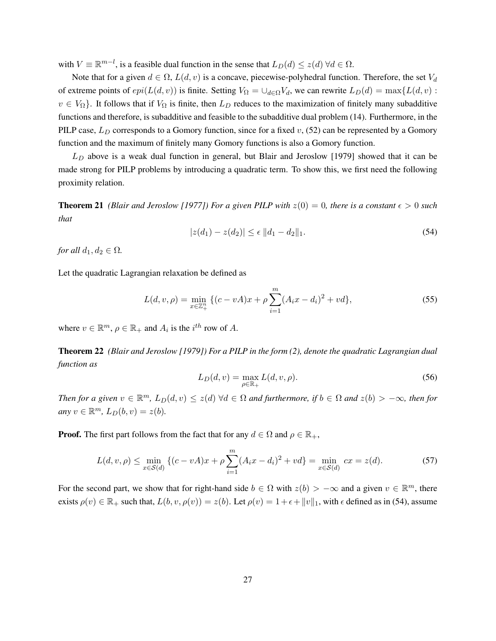with  $V \equiv \mathbb{R}^{m-l}$ , is a feasible dual function in the sense that  $L_D(d) \leq z(d) \forall d \in \Omega$ .

Note that for a given  $d \in \Omega$ ,  $L(d, v)$  is a concave, piecewise-polyhedral function. Therefore, the set  $V_d$ of extreme points of  $epi(L(d, v))$  is finite. Setting  $V_{\Omega} = \bigcup_{d \in \Omega} V_d$ , we can rewrite  $L_D(d) = \max\{L(d, v):$  $v \in V_{\Omega}$ . It follows that if  $V_{\Omega}$  is finite, then  $L_D$  reduces to the maximization of finitely many subadditive functions and therefore, is subadditive and feasible to the subadditive dual problem (14). Furthermore, in the PILP case,  $L_D$  corresponds to a Gomory function, since for a fixed v, (52) can be represented by a Gomory function and the maximum of finitely many Gomory functions is also a Gomory function.

 $L_D$  above is a weak dual function in general, but Blair and Jeroslow [1979] showed that it can be made strong for PILP problems by introducing a quadratic term. To show this, we first need the following proximity relation.

**Theorem 21** *(Blair and Jeroslow [1977]) For a given PILP with*  $z(0) = 0$ *, there is a constant*  $\epsilon > 0$  *such that*

$$
|z(d_1) - z(d_2)| \le \epsilon \, \|d_1 - d_2\|_1. \tag{54}
$$

*for all*  $d_1, d_2 \in \Omega$ *.* 

Let the quadratic Lagrangian relaxation be defined as

$$
L(d, v, \rho) = \min_{x \in \mathbb{Z}_+^n} \left\{ (c - vA)x + \rho \sum_{i=1}^m (A_i x - d_i)^2 + v d \right\},\tag{55}
$$

where  $v \in \mathbb{R}^m$ ,  $\rho \in \mathbb{R}_+$  and  $A_i$  is the  $i^{th}$  row of A.

Theorem 22 *(Blair and Jeroslow [1979]) For a PILP in the form (2), denote the quadratic Lagrangian dual function as*

$$
L_D(d, v) = \max_{\rho \in \mathbb{R}_+} L(d, v, \rho).
$$
\n(56)

*Then for a given*  $v \in \mathbb{R}^m$ ,  $L_D(d, v) \leq z(d)$   $\forall d \in \Omega$  and furthermore, if  $b \in \Omega$  and  $z(b) > -\infty$ , then for  $any \ v \in \mathbb{R}^m$ ,  $L_D(b, v) = z(b)$ .

**Proof.** The first part follows from the fact that for any  $d \in \Omega$  and  $\rho \in \mathbb{R}_+$ ,

$$
L(d, v, \rho) \le \min_{x \in \mathcal{S}(d)} \left\{ (c - vA)x + \rho \sum_{i=1}^{m} (A_i x - d_i)^2 + v d \right\} = \min_{x \in \mathcal{S}(d)} cx = z(d). \tag{57}
$$

For the second part, we show that for right-hand side  $b \in \Omega$  with  $z(b) > -\infty$  and a given  $v \in \mathbb{R}^m$ , there exists  $\rho(v) \in \mathbb{R}_+$  such that,  $L(b, v, \rho(v)) = z(b)$ . Let  $\rho(v) = 1 + \epsilon + ||v||_1$ , with  $\epsilon$  defined as in (54), assume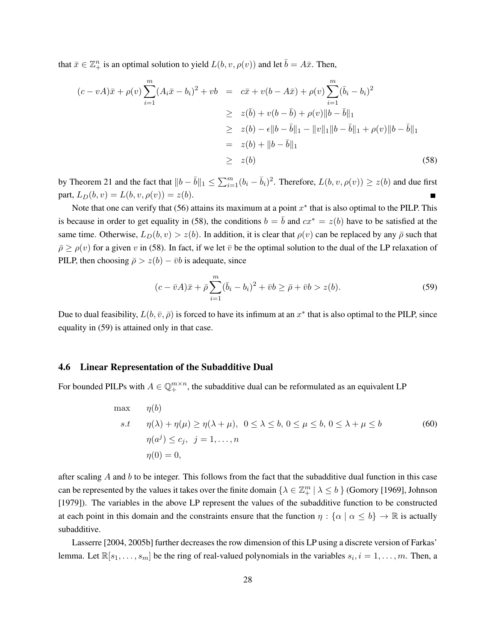that  $\bar{x} \in \mathbb{Z}_+^n$  is an optimal solution to yield  $L(b, v, \rho(v))$  and let  $\bar{b} = A\bar{x}$ . Then,

$$
(c - vA)\bar{x} + \rho(v)\sum_{i=1}^{m}(A_i\bar{x} - b_i)^2 + vb = c\bar{x} + v(b - A\bar{x}) + \rho(v)\sum_{i=1}^{m}(\bar{b}_i - b_i)^2
$$
  
\n
$$
\geq z(\bar{b}) + v(b - \bar{b}) + \rho(v)||b - \bar{b}||_1
$$
  
\n
$$
\geq z(b) - \epsilon ||b - \bar{b}||_1 - ||v||_1 ||b - \bar{b}||_1 + \rho(v)||b - \bar{b}||_1
$$
  
\n
$$
= z(b) + ||b - \bar{b}||_1
$$
\n(58)

by Theorem 21 and the fact that  $||b - \bar{b}||_1 \le \sum_{i=1}^m (b_i - \bar{b}_i)^2$ . Therefore,  $L(b, v, \rho(v)) \ge z(b)$  and due first part,  $L_D(b, v) = L(b, v, \rho(v)) = z(b)$ .  $\blacksquare$ 

Note that one can verify that  $(56)$  attains its maximum at a point  $x^*$  that is also optimal to the PILP. This is because in order to get equality in (58), the conditions  $b = \bar{b}$  and  $cx^* = z(b)$  have to be satisfied at the same time. Otherwise,  $L_D(b, v) > z(b)$ . In addition, it is clear that  $\rho(v)$  can be replaced by any  $\bar{\rho}$  such that  $\bar{\rho} \ge \rho(v)$  for a given v in (58). In fact, if we let  $\bar{v}$  be the optimal solution to the dual of the LP relaxation of PILP, then choosing  $\bar{\rho} > z(b) - \bar{v}b$  is adequate, since

$$
(c - \bar{v}A)\bar{x} + \bar{\rho}\sum_{i=1}^{m} (\bar{b}_i - b_i)^2 + \bar{v}b \ge \bar{\rho} + \bar{v}b > z(b).
$$
 (59)

Due to dual feasibility,  $L(b, \bar{v}, \bar{\rho})$  is forced to have its infimum at an  $x^*$  that is also optimal to the PILP, since equality in (59) is attained only in that case.

#### 4.6 Linear Representation of the Subadditive Dual

For bounded PILPs with  $A \in \mathbb{Q}_+^{m \times n}$ , the subadditive dual can be reformulated as an equivalent LP

$$
\max \quad \eta(b)
$$
\n
$$
s.t \quad \eta(\lambda) + \eta(\mu) \ge \eta(\lambda + \mu), \ 0 \le \lambda \le b, \ 0 \le \mu \le b, \ 0 \le \lambda + \mu \le b
$$
\n
$$
\eta(a^j) \le c_j, \ j = 1, \dots, n
$$
\n
$$
\eta(0) = 0,
$$
\n
$$
(60)
$$

after scaling  $A$  and  $b$  to be integer. This follows from the fact that the subadditive dual function in this case can be represented by the values it takes over the finite domain  $\{\lambda \in \mathbb{Z}_{+}^m \mid \lambda \leq b\}$  (Gomory [1969], Johnson [1979]). The variables in the above LP represent the values of the subadditive function to be constructed at each point in this domain and the constraints ensure that the function  $\eta : {\alpha \mid \alpha \le b} \rightarrow \mathbb{R}$  is actually subadditive.

Lasserre [2004, 2005b] further decreases the row dimension of this LP using a discrete version of Farkas' lemma. Let  $\mathbb{R}[s_1,\ldots,s_m]$  be the ring of real-valued polynomials in the variables  $s_i, i = 1,\ldots,m$ . Then, a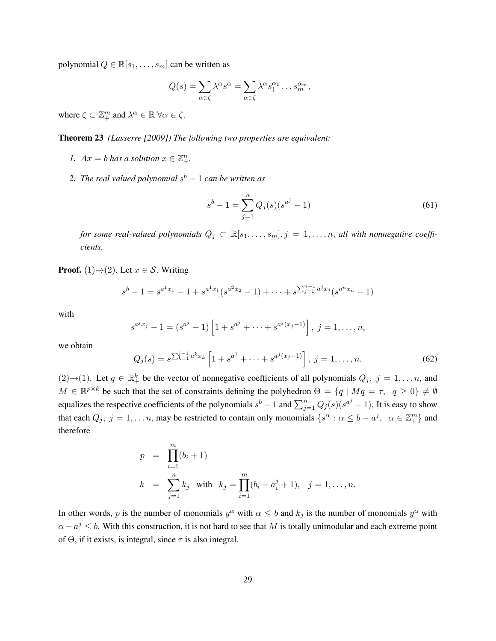polynomial  $Q \in \mathbb{R}[s_1, \ldots, s_m]$  can be written as

$$
Q(s) = \sum_{\alpha \in \zeta} \lambda^{\alpha} s^{\alpha} = \sum_{\alpha \in \zeta} \lambda^{\alpha} s_1^{\alpha_1} \dots s_m^{\alpha_m},
$$

where  $\zeta \subset \mathbb{Z}_{+}^{m}$  and  $\lambda^{\alpha} \in \mathbb{R}$   $\forall \alpha \in \zeta$ .

Theorem 23 *(Lasserre [2009]) The following two properties are equivalent:*

- *1.*  $Ax = b$  *has a solution*  $x \in \mathbb{Z}_{+}^{n}$ *.*
- 2. The real valued polynomial s<sup>b</sup> − 1 *can be written as*

$$
s^{b} - 1 = \sum_{j=1}^{n} Q_{j}(s)(s^{a^{j}} - 1)
$$
\n(61)

*for some real-valued polynomials*  $Q_j \subset \mathbb{R}[s_1,\ldots,s_m], j = 1,\ldots,n$ , *all with nonnegative coefficients.*

**Proof.** (1) $\rightarrow$ (2). Let  $x \in S$ . Writing

$$
s^{b}-1=s^{a^1x_1}-1+s^{a^1x_1}(s^{a^2x_2}-1)+\cdots+s^{\sum_{j=1}^{n-1}a^jx_j}(s^{a^nx_n}-1)
$$

with

$$
s^{a^j x_j} - 1 = (s^{a^j} - 1) \left[ 1 + s^{a^j} + \dots + s^{a^j (x_j - 1)} \right], \ j = 1, \dots, n,
$$

we obtain

$$
Q_j(s) = s^{\sum_{k=1}^{j-1} a^k x_k} \left[ 1 + s^{a^j} + \dots + s^{a^j (x_j - 1)} \right], \ j = 1, \dots, n. \tag{62}
$$

 $(2) \rightarrow (1)$ . Let  $q \in \mathbb{R}^k_+$  be the vector of nonnegative coefficients of all polynomials  $Q_j$ ,  $j = 1, \ldots n$ , and  $M \in \mathbb{R}^{p \times k}$  be such that the set of constraints defining the polyhedron  $\Theta = \{q \mid Mq = \tau, q \ge 0\} \ne \emptyset$ equalizes the respective coefficients of the polynomials  $s^b - 1$  and  $\sum_{j=1}^n Q_j(s)(s^{a^j} - 1)$ . It is easy to show that each  $Q_j$ ,  $j = 1, ..., n$ , may be restricted to contain only monomials  $\{s^\alpha : \alpha \leq b - a^j, \alpha \in \mathbb{Z}_+^m\}$  and therefore

$$
p = \prod_{i=1}^{m} (b_i + 1)
$$
  
\n
$$
k = \sum_{j=1}^{n} k_j \text{ with } k_j = \prod_{i=1}^{m} (b_i - a_i^j + 1), \quad j = 1, ..., n.
$$

In other words, p is the number of monomials  $y^{\alpha}$  with  $\alpha \leq b$  and  $k_j$  is the number of monomials  $y^{\alpha}$  with  $\alpha - a^j \leq b$ . With this construction, it is not hard to see that M is totally unimodular and each extreme point of  $\Theta$ , if it exists, is integral, since  $\tau$  is also integral.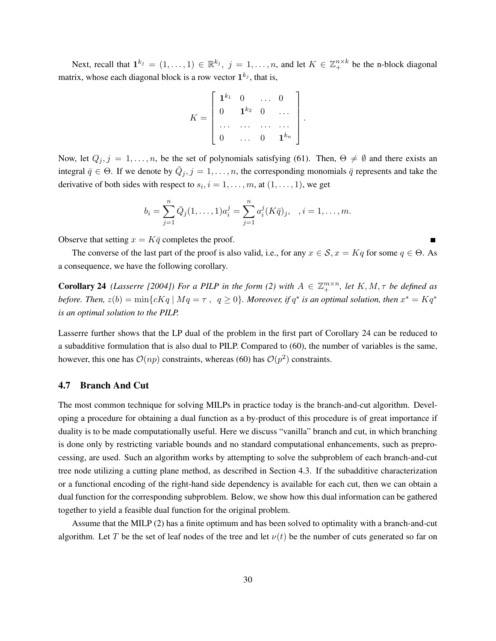Next, recall that  $\mathbf{1}^{k_j} = (1, \ldots, 1) \in \mathbb{R}^{k_j}$ ,  $j = 1, \ldots, n$ , and let  $K \in \mathbb{Z}_+^{n \times k}$  be the n-block diagonal matrix, whose each diagonal block is a row vector  $1^{k_j}$ , that is,

$$
K = \begin{bmatrix} \mathbf{1}^{k_1} & 0 & \dots & 0 \\ 0 & \mathbf{1}^{k_2} & 0 & \dots \\ \dots & \dots & \dots & \dots \\ 0 & \dots & 0 & \mathbf{1}^{k_n} \end{bmatrix}.
$$

Now, let  $Q_j$ ,  $j = 1, \ldots, n$ , be the set of polynomials satisfying (61). Then,  $\Theta \neq \emptyset$  and there exists an integral  $\bar{q} \in \Theta$ . If we denote by  $\bar{Q}_j$ ,  $j = 1, \ldots, n$ , the corresponding monomials  $\bar{q}$  represents and take the derivative of both sides with respect to  $s_i$ ,  $i = 1, \ldots, m$ , at  $(1, \ldots, 1)$ , we get

$$
b_i = \sum_{j=1}^n \bar{Q}_j(1,\ldots,1)a_i^j = \sum_{j=1}^n a_i^j(K\bar{q})_j, \quad i = 1,\ldots,m.
$$

Observe that setting  $x = K\bar{q}$  completes the proof.

The converse of the last part of the proof is also valid, i.e., for any  $x \in \mathcal{S}$ ,  $x = Kq$  for some  $q \in \Theta$ . As a consequence, we have the following corollary.

**Corollary 24** *(Lasserre [2004]) For a PILP in the form (2) with*  $A \in \mathbb{Z}_+^{m \times n}$ *, let*  $K, M, \tau$  *be defined as before. Then,*  $z(b) = \min\{cKq \mid Mq = \tau, q \ge 0\}$ . Moreover, if  $q^*$  is an optimal solution, then  $x^* = Kq^*$ *is an optimal solution to the PILP.*

Lasserre further shows that the LP dual of the problem in the first part of Corollary 24 can be reduced to a subadditive formulation that is also dual to PILP. Compared to (60), the number of variables is the same, however, this one has  $\mathcal{O}(np)$  constraints, whereas (60) has  $\mathcal{O}(p^2)$  constraints.

## 4.7 Branch And Cut

The most common technique for solving MILPs in practice today is the branch-and-cut algorithm. Developing a procedure for obtaining a dual function as a by-product of this procedure is of great importance if duality is to be made computationally useful. Here we discuss "vanilla" branch and cut, in which branching is done only by restricting variable bounds and no standard computational enhancements, such as preprocessing, are used. Such an algorithm works by attempting to solve the subproblem of each branch-and-cut tree node utilizing a cutting plane method, as described in Section 4.3. If the subadditive characterization or a functional encoding of the right-hand side dependency is available for each cut, then we can obtain a dual function for the corresponding subproblem. Below, we show how this dual information can be gathered together to yield a feasible dual function for the original problem.

Assume that the MILP (2) has a finite optimum and has been solved to optimality with a branch-and-cut algorithm. Let T be the set of leaf nodes of the tree and let  $\nu(t)$  be the number of cuts generated so far on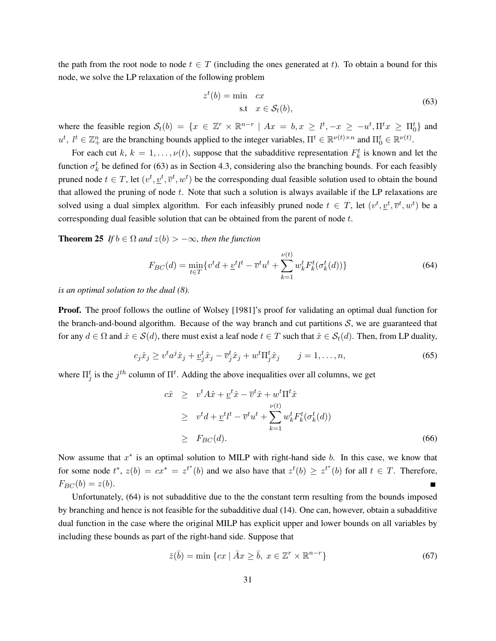the path from the root node to node  $t \in T$  (including the ones generated at t). To obtain a bound for this node, we solve the LP relaxation of the following problem

$$
zt(b) = \min \quad cx
$$
  
s.t  $x \in \mathcal{S}_t(b)$ , (63)

where the feasible region  $S_t(b) = \{x \in \mathbb{Z}^r \times \mathbb{R}^{n-r} \mid Ax = b, x \geq l^t, -x \geq -u^t, \Pi^t x \geq \Pi^t_0\}$  and  $u^t$ ,  $l^t \in \mathbb{Z}_+^n$  are the branching bounds applied to the integer variables,  $\Pi^t \in \mathbb{R}^{\nu(t)\times n}$  and  $\Pi_0^t \in \mathbb{R}^{\nu(t)}$ .

For each cut  $k, k = 1, ..., \nu(t)$ , suppose that the subadditive representation  $F_k^t$  is known and let the function  $\sigma_k^t$  be defined for (63) as in Section 4.3, considering also the branching bounds. For each feasibly pruned node  $t \in T$ , let  $(v^t, \underline{v}^t, \overline{v}^t, w^t)$  be the corresponding dual feasible solution used to obtain the bound that allowed the pruning of node  $t$ . Note that such a solution is always available if the LP relaxations are solved using a dual simplex algorithm. For each infeasibly pruned node  $t \in T$ , let  $(v^t, \underline{v}^t, \overline{v}^t, w^t)$  be a corresponding dual feasible solution that can be obtained from the parent of node t.

**Theorem 25** *If*  $b \in \Omega$  *and*  $z(b) > -\infty$ *, then the function* 

$$
F_{BC}(d) = \min_{t \in T} \{v^t d + \underline{v}^t l^t - \overline{v}^t u^t + \sum_{k=1}^{\nu(t)} w_k^t F_k^t (\sigma_k^t(d))\}
$$
(64)

*is an optimal solution to the dual (8).*

**Proof.** The proof follows the outline of Wolsey [1981]'s proof for validating an optimal dual function for the branch-and-bound algorithm. Because of the way branch and cut partitions  $S$ , we are guaranteed that for any  $d \in \Omega$  and  $\hat{x} \in \mathcal{S}(d)$ , there must exist a leaf node  $t \in T$  such that  $\hat{x} \in \mathcal{S}_t(d)$ . Then, from LP duality,

$$
c_j \hat{x}_j \ge v^t a^j \hat{x}_j + \underline{v}_j^t \hat{x}_j - \overline{v}_j^t \hat{x}_j + w^t \Pi_j^t \hat{x}_j \qquad j = 1, \dots, n,
$$
\n
$$
(65)
$$

where  $\Pi_j^t$  is the  $j^{th}$  column of  $\Pi^t$ . Adding the above inequalities over all columns, we get

$$
c\hat{x} \geq v^t A \hat{x} + \underline{v}^t \hat{x} - \overline{v}^t \hat{x} + w^t \Pi^t \hat{x}
$$
  
\n
$$
\geq v^t d + \underline{v}^t l^t - \overline{v}^t u^t + \sum_{k=1}^{\nu(t)} w_k^t F_k^t(\sigma_k^t(d))
$$
  
\n
$$
\geq F_{BC}(d). \tag{66}
$$

Now assume that  $x^*$  is an optimal solution to MILP with right-hand side  $b$ . In this case, we know that for some node  $t^*, z(b) = cx^* = z^{t^*}(b)$  and we also have that  $z^t(b) \geq z^{t^*}(b)$  for all  $t \in T$ . Therefore,  $F_{BC}(b) = z(b).$ н

Unfortunately, (64) is not subadditive due to the the constant term resulting from the bounds imposed by branching and hence is not feasible for the subadditive dual (14). One can, however, obtain a subadditive dual function in the case where the original MILP has explicit upper and lower bounds on all variables by including these bounds as part of the right-hand side. Suppose that

$$
\bar{z}(\bar{b}) = \min \left\{ cx \mid \bar{A}x \ge \bar{b}, \ x \in \mathbb{Z}^r \times \mathbb{R}^{n-r} \right\} \tag{67}
$$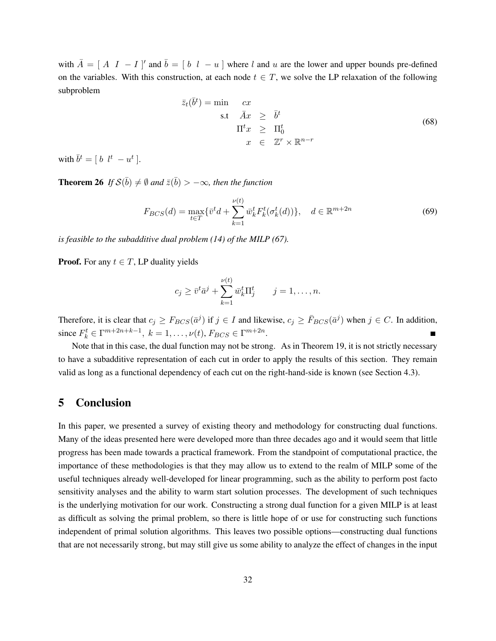with  $\overline{A} = [A \ I - I]'$  and  $\overline{b} = [b \ l - u]$  where l and u are the lower and upper bounds pre-defined on the variables. With this construction, at each node  $t \in T$ , we solve the LP relaxation of the following subproblem

$$
\bar{z}_t(\bar{b}^t) = \min \quad cx
$$
\n
$$
\text{s.t} \quad \bar{A}x \geq \bar{b}^t
$$
\n
$$
\Pi^t x \geq \Pi_0^t
$$
\n
$$
x \in \mathbb{Z}^r \times \mathbb{R}^{n-r}
$$
\n(68)

with  $\bar{b}^t = [b \; l^t - u^t].$ 

**Theorem 26** If  $\mathcal{S}(\bar{b}) \neq \emptyset$  and  $\bar{z}(\bar{b}) > -\infty$ , then the function

$$
F_{BCS}(d) = \max_{t \in T} \{ \bar{v}^t d + \sum_{k=1}^{\nu(t)} \bar{w}_k^t F_k^t(\sigma_k^t(d)) \}, \quad d \in \mathbb{R}^{m+2n}
$$
(69)

*is feasible to the subadditive dual problem (14) of the MILP (67).*

**Proof.** For any  $t \in T$ , LP duality yields

$$
c_j \geq \bar{v}^t \bar{a}^j + \sum_{k=1}^{\nu(t)} \bar{w}_k^t \Pi_j^t \qquad j = 1, \dots, n.
$$

Therefore, it is clear that  $c_j \geq F_{BCS}(\bar{a}^j)$  if  $j \in I$  and likewise,  $c_j \geq \bar{F}_{BCS}(\bar{a}^j)$  when  $j \in C$ . In addition, since  $F_k^t \in \Gamma^{m+2n+k-1}, k = 1, ..., \nu(t), F_{BCS} \in \Gamma^{m+2n}.$ 

Note that in this case, the dual function may not be strong. As in Theorem 19, it is not strictly necessary to have a subadditive representation of each cut in order to apply the results of this section. They remain valid as long as a functional dependency of each cut on the right-hand-side is known (see Section 4.3).

## 5 Conclusion

In this paper, we presented a survey of existing theory and methodology for constructing dual functions. Many of the ideas presented here were developed more than three decades ago and it would seem that little progress has been made towards a practical framework. From the standpoint of computational practice, the importance of these methodologies is that they may allow us to extend to the realm of MILP some of the useful techniques already well-developed for linear programming, such as the ability to perform post facto sensitivity analyses and the ability to warm start solution processes. The development of such techniques is the underlying motivation for our work. Constructing a strong dual function for a given MILP is at least as difficult as solving the primal problem, so there is little hope of or use for constructing such functions independent of primal solution algorithms. This leaves two possible options—constructing dual functions that are not necessarily strong, but may still give us some ability to analyze the effect of changes in the input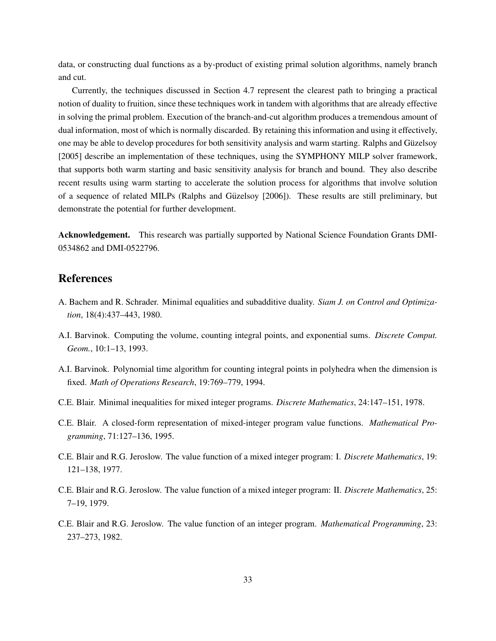data, or constructing dual functions as a by-product of existing primal solution algorithms, namely branch and cut.

Currently, the techniques discussed in Section 4.7 represent the clearest path to bringing a practical notion of duality to fruition, since these techniques work in tandem with algorithms that are already effective in solving the primal problem. Execution of the branch-and-cut algorithm produces a tremendous amount of dual information, most of which is normally discarded. By retaining this information and using it effectively, one may be able to develop procedures for both sensitivity analysis and warm starting. Ralphs and Guzelsoy ¨ [2005] describe an implementation of these techniques, using the SYMPHONY MILP solver framework, that supports both warm starting and basic sensitivity analysis for branch and bound. They also describe recent results using warm starting to accelerate the solution process for algorithms that involve solution of a sequence of related MILPs (Ralphs and Guzelsoy [2006]). These results are still preliminary, but ¨ demonstrate the potential for further development.

Acknowledgement. This research was partially supported by National Science Foundation Grants DMI-0534862 and DMI-0522796.

## References

- A. Bachem and R. Schrader. Minimal equalities and subadditive duality. *Siam J. on Control and Optimization*, 18(4):437–443, 1980.
- A.I. Barvinok. Computing the volume, counting integral points, and exponential sums. *Discrete Comput. Geom.*, 10:1–13, 1993.
- A.I. Barvinok. Polynomial time algorithm for counting integral points in polyhedra when the dimension is fixed. *Math of Operations Research*, 19:769–779, 1994.
- C.E. Blair. Minimal inequalities for mixed integer programs. *Discrete Mathematics*, 24:147–151, 1978.
- C.E. Blair. A closed-form representation of mixed-integer program value functions. *Mathematical Programming*, 71:127–136, 1995.
- C.E. Blair and R.G. Jeroslow. The value function of a mixed integer program: I. *Discrete Mathematics*, 19: 121–138, 1977.
- C.E. Blair and R.G. Jeroslow. The value function of a mixed integer program: II. *Discrete Mathematics*, 25: 7–19, 1979.
- C.E. Blair and R.G. Jeroslow. The value function of an integer program. *Mathematical Programming*, 23: 237–273, 1982.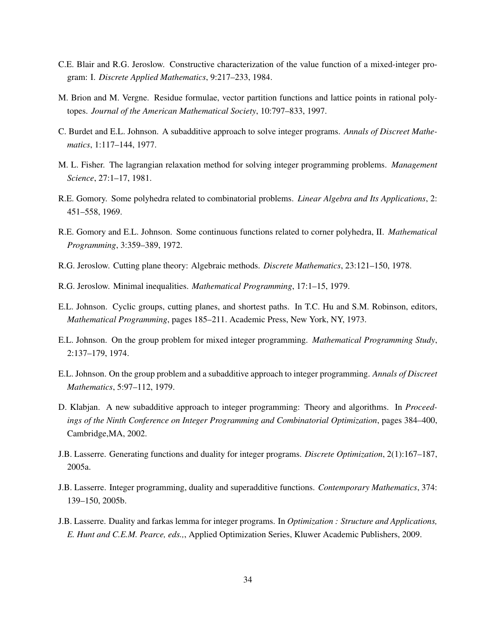- C.E. Blair and R.G. Jeroslow. Constructive characterization of the value function of a mixed-integer program: I. *Discrete Applied Mathematics*, 9:217–233, 1984.
- M. Brion and M. Vergne. Residue formulae, vector partition functions and lattice points in rational polytopes. *Journal of the American Mathematical Society*, 10:797–833, 1997.
- C. Burdet and E.L. Johnson. A subadditive approach to solve integer programs. *Annals of Discreet Mathematics*, 1:117–144, 1977.
- M. L. Fisher. The lagrangian relaxation method for solving integer programming problems. *Management Science*, 27:1–17, 1981.
- R.E. Gomory. Some polyhedra related to combinatorial problems. *Linear Algebra and Its Applications*, 2: 451–558, 1969.
- R.E. Gomory and E.L. Johnson. Some continuous functions related to corner polyhedra, II. *Mathematical Programming*, 3:359–389, 1972.
- R.G. Jeroslow. Cutting plane theory: Algebraic methods. *Discrete Mathematics*, 23:121–150, 1978.
- R.G. Jeroslow. Minimal inequalities. *Mathematical Programming*, 17:1–15, 1979.
- E.L. Johnson. Cyclic groups, cutting planes, and shortest paths. In T.C. Hu and S.M. Robinson, editors, *Mathematical Programming*, pages 185–211. Academic Press, New York, NY, 1973.
- E.L. Johnson. On the group problem for mixed integer programming. *Mathematical Programming Study*, 2:137–179, 1974.
- E.L. Johnson. On the group problem and a subadditive approach to integer programming. *Annals of Discreet Mathematics*, 5:97–112, 1979.
- D. Klabjan. A new subadditive approach to integer programming: Theory and algorithms. In *Proceedings of the Ninth Conference on Integer Programming and Combinatorial Optimization*, pages 384–400, Cambridge,MA, 2002.
- J.B. Lasserre. Generating functions and duality for integer programs. *Discrete Optimization*, 2(1):167–187, 2005a.
- J.B. Lasserre. Integer programming, duality and superadditive functions. *Contemporary Mathematics*, 374: 139–150, 2005b.
- J.B. Lasserre. Duality and farkas lemma for integer programs. In *Optimization : Structure and Applications, E. Hunt and C.E.M. Pearce, eds.,*, Applied Optimization Series, Kluwer Academic Publishers, 2009.